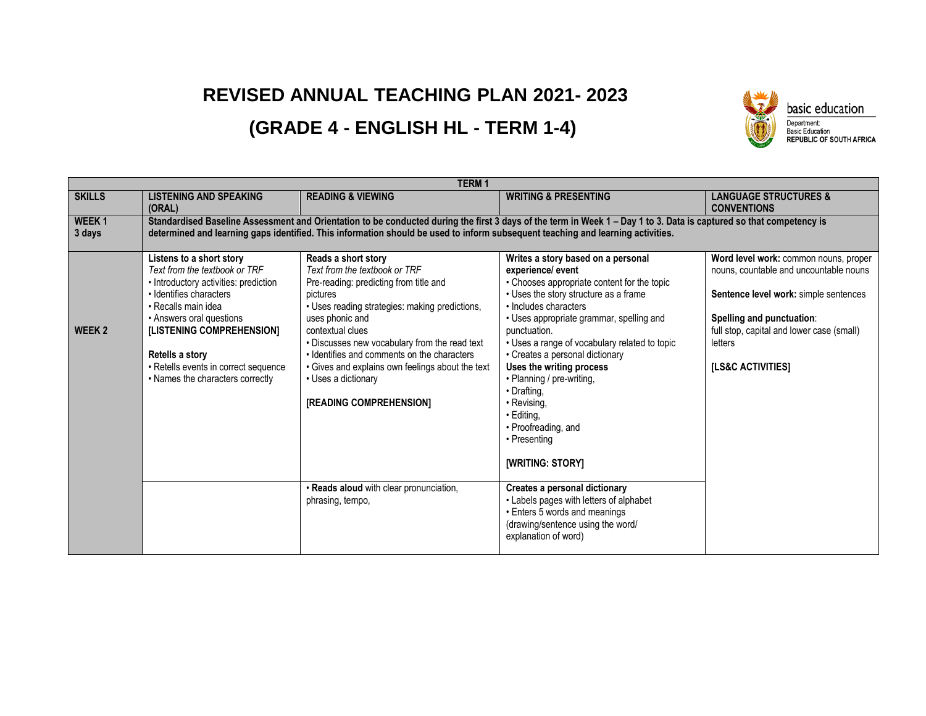## **REVISED ANNUAL TEACHING PLAN 2021- 2023**

## **(GRADE 4 - ENGLISH HL - TERM 1-4)**



| <b>SKILLS</b><br><b>READING &amp; VIEWING</b><br><b>LISTENING AND SPEAKING</b><br><b>WRITING &amp; PRESENTING</b><br>(ORAL)<br><b>WEEK1</b><br>Standardised Baseline Assessment and Orientation to be conducted during the first 3 days of the term in Week 1 - Day 1 to 3. Data is captured so that competency is<br>determined and learning gaps identified. This information should be used to inform subsequent teaching and learning activities.<br>3 days<br>Listens to a short story<br>Reads a short story<br>Writes a story based on a personal<br>Text from the textbook or TRF<br>Text from the textbook or TRF<br>experience/event<br>• Chooses appropriate content for the topic<br>• Introductory activities: prediction<br>Pre-reading: predicting from title and<br>· Identifies characters<br>• Uses the story structure as a frame<br>pictures<br>• Uses reading strategies: making predictions,<br>• Includes characters<br>• Recalls main idea | <b>LANGUAGE STRUCTURES &amp;</b><br><b>CONVENTIONS</b>                                                                                                                                                                                        |  |  |  |  |  |
|--------------------------------------------------------------------------------------------------------------------------------------------------------------------------------------------------------------------------------------------------------------------------------------------------------------------------------------------------------------------------------------------------------------------------------------------------------------------------------------------------------------------------------------------------------------------------------------------------------------------------------------------------------------------------------------------------------------------------------------------------------------------------------------------------------------------------------------------------------------------------------------------------------------------------------------------------------------------|-----------------------------------------------------------------------------------------------------------------------------------------------------------------------------------------------------------------------------------------------|--|--|--|--|--|
|                                                                                                                                                                                                                                                                                                                                                                                                                                                                                                                                                                                                                                                                                                                                                                                                                                                                                                                                                                    |                                                                                                                                                                                                                                               |  |  |  |  |  |
|                                                                                                                                                                                                                                                                                                                                                                                                                                                                                                                                                                                                                                                                                                                                                                                                                                                                                                                                                                    |                                                                                                                                                                                                                                               |  |  |  |  |  |
|                                                                                                                                                                                                                                                                                                                                                                                                                                                                                                                                                                                                                                                                                                                                                                                                                                                                                                                                                                    |                                                                                                                                                                                                                                               |  |  |  |  |  |
| • Uses appropriate grammar, spelling and<br>• Answers oral questions<br>uses phonic and<br>WEEK <sub>2</sub><br>[LISTENING COMPREHENSION]<br>contextual clues<br>punctuation.<br>• Discusses new vocabulary from the read text<br>• Uses a range of vocabulary related to topic<br>• Identifies and comments on the characters<br>• Creates a personal dictionary<br>Retells a story<br>• Retells events in correct sequence<br>Uses the writing process<br>• Gives and explains own feelings about the text<br>· Planning / pre-writing,<br>• Names the characters correctly<br>• Uses a dictionary<br>• Drafting.<br><b>IREADING COMPREHENSION1</b><br>• Revising,<br>$\cdot$ Editing,<br>• Proofreading, and<br>• Presenting<br>[WRITING: STORY]<br>Creates a personal dictionary<br>• Reads aloud with clear pronunciation,<br>• Labels pages with letters of alphabet<br>phrasing, tempo,<br>• Enters 5 words and meanings                                    | Word level work: common nouns, proper<br>nouns, countable and uncountable nouns<br>Sentence level work: simple sentences<br>Spelling and punctuation:<br>full stop, capital and lower case (small)<br>letters<br><b>ILS&amp;C ACTIVITIES1</b> |  |  |  |  |  |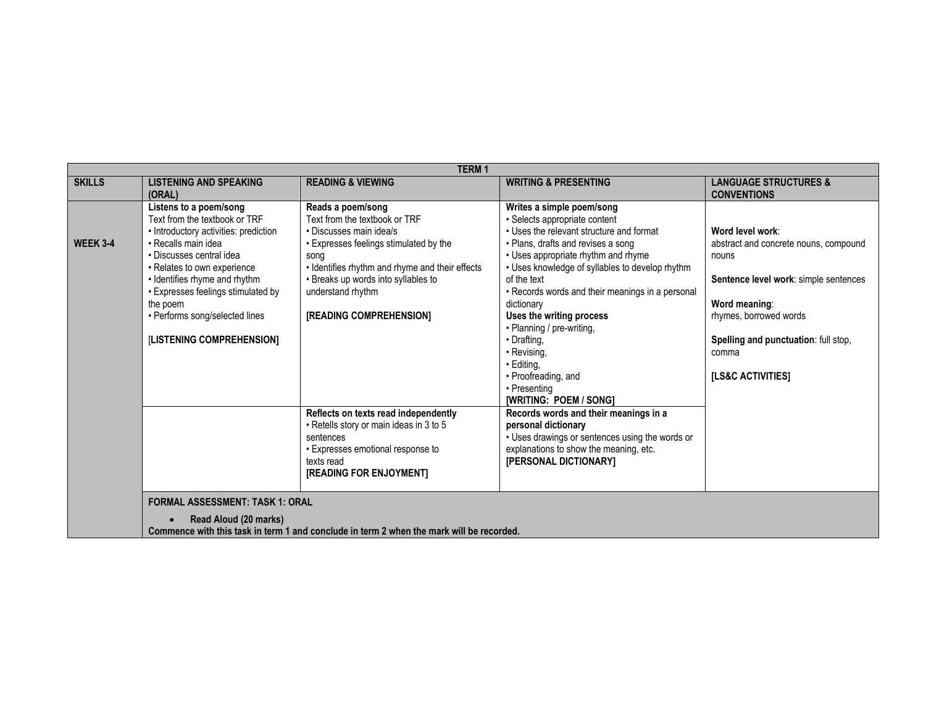| <b>SKILLS</b>   | <b>LISTENING AND SPEAKING</b>                                                                                                                                                                                                                                                                                                        |                                                                                                                                                                                                                                                                                                                                                              |                                                                                                                                                                                                                                                                                                                                                                                                                                                                                                                                                                      |                                                                                                                                                                                                                                         |  |
|-----------------|--------------------------------------------------------------------------------------------------------------------------------------------------------------------------------------------------------------------------------------------------------------------------------------------------------------------------------------|--------------------------------------------------------------------------------------------------------------------------------------------------------------------------------------------------------------------------------------------------------------------------------------------------------------------------------------------------------------|----------------------------------------------------------------------------------------------------------------------------------------------------------------------------------------------------------------------------------------------------------------------------------------------------------------------------------------------------------------------------------------------------------------------------------------------------------------------------------------------------------------------------------------------------------------------|-----------------------------------------------------------------------------------------------------------------------------------------------------------------------------------------------------------------------------------------|--|
|                 | (ORAL)                                                                                                                                                                                                                                                                                                                               | <b>READING &amp; VIEWING</b>                                                                                                                                                                                                                                                                                                                                 | <b>WRITING &amp; PRESENTING</b>                                                                                                                                                                                                                                                                                                                                                                                                                                                                                                                                      | <b>LANGUAGE STRUCTURES &amp;</b><br><b>CONVENTIONS</b>                                                                                                                                                                                  |  |
| <b>WEEK 3-4</b> | Listens to a poem/song<br>Text from the textbook or TRF<br>• Introductory activities: prediction<br>• Recalls main idea<br>• Discusses central idea<br>• Relates to own experience<br>• Identifies rhyme and rhythm<br>• Expresses feelings stimulated by<br>the poem<br>• Performs song/selected lines<br>[LISTENING COMPREHENSION] | Reads a poem/song<br>Text from the textbook or TRF<br>• Discusses main idea/s<br>• Expresses feelings stimulated by the<br>song<br>• Identifies rhythm and rhyme and their effects<br>• Breaks up words into syllables to<br>understand rhythm<br>[READING COMPREHENSION]<br>Reflects on texts read independently<br>• Retells story or main ideas in 3 to 5 | Writes a simple poem/song<br>· Selects appropriate content<br>• Uses the relevant structure and format<br>• Plans, drafts and revises a song<br>• Uses appropriate rhythm and rhyme<br>• Uses knowledge of syllables to develop rhythm<br>of the text<br>• Records words and their meanings in a personal<br>dictionary<br>Uses the writing process<br>· Planning / pre-writing,<br>• Drafting.<br>• Revising,<br>· Editing,<br>• Proofreading, and<br>• Presenting<br><b>[WRITING: POEM / SONG]</b><br>Records words and their meanings in a<br>personal dictionary | Word level work:<br>abstract and concrete nouns, compound<br>nouns<br>Sentence level work: simple sentences<br>Word meaning:<br>rhymes, borrowed words<br>Spelling and punctuation: full stop,<br>comma<br><b>ILS&amp;C ACTIVITIES1</b> |  |
|                 |                                                                                                                                                                                                                                                                                                                                      | sentences<br>• Expresses emotional response to<br>texts read<br>[READING FOR ENJOYMENT]                                                                                                                                                                                                                                                                      | • Uses drawings or sentences using the words or<br>explanations to show the meaning, etc.<br><b>[PERSONAL DICTIONARY]</b>                                                                                                                                                                                                                                                                                                                                                                                                                                            |                                                                                                                                                                                                                                         |  |
|                 | <b>FORMAL ASSESSMENT: TASK 1: ORAL</b><br>Read Aloud (20 marks)<br>$\bullet$<br>Commence with this task in term 1 and conclude in term 2 when the mark will be recorded.                                                                                                                                                             |                                                                                                                                                                                                                                                                                                                                                              |                                                                                                                                                                                                                                                                                                                                                                                                                                                                                                                                                                      |                                                                                                                                                                                                                                         |  |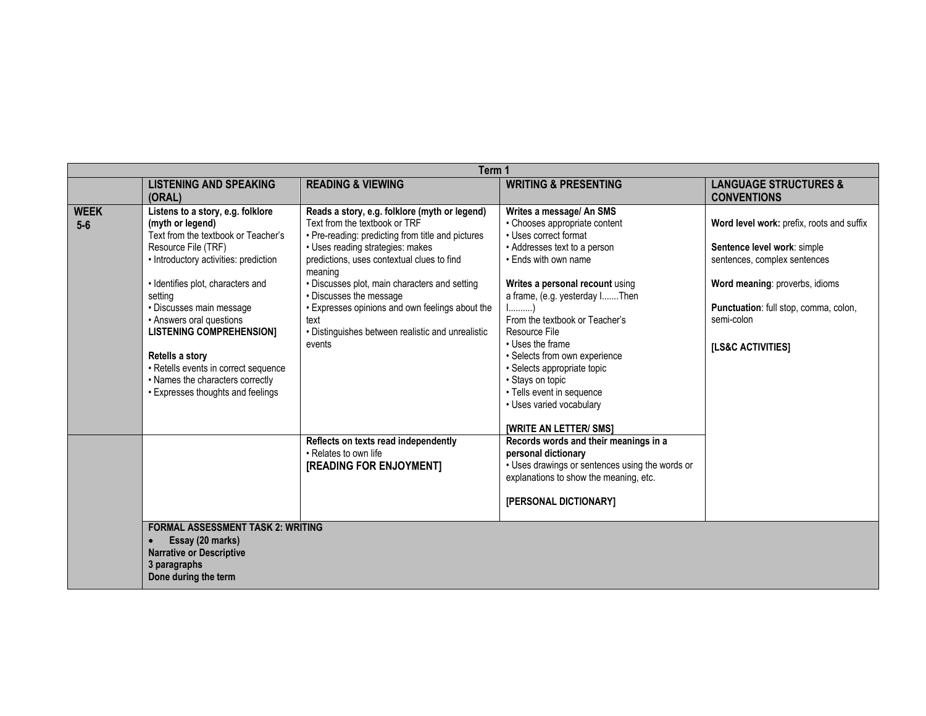|                      | Term 1                                                                                                                                                                                                                                                                                                                                                                                                                                      |                                                                                                                                                                                                                                                                                                                                                                                                                                        |                                                                                                                                                                                                                                                                                                                                                                                                                                                                         |                                                                                                                                                                                                                        |  |
|----------------------|---------------------------------------------------------------------------------------------------------------------------------------------------------------------------------------------------------------------------------------------------------------------------------------------------------------------------------------------------------------------------------------------------------------------------------------------|----------------------------------------------------------------------------------------------------------------------------------------------------------------------------------------------------------------------------------------------------------------------------------------------------------------------------------------------------------------------------------------------------------------------------------------|-------------------------------------------------------------------------------------------------------------------------------------------------------------------------------------------------------------------------------------------------------------------------------------------------------------------------------------------------------------------------------------------------------------------------------------------------------------------------|------------------------------------------------------------------------------------------------------------------------------------------------------------------------------------------------------------------------|--|
|                      | <b>LISTENING AND SPEAKING</b><br>(ORAL)                                                                                                                                                                                                                                                                                                                                                                                                     | <b>READING &amp; VIEWING</b>                                                                                                                                                                                                                                                                                                                                                                                                           | <b>WRITING &amp; PRESENTING</b>                                                                                                                                                                                                                                                                                                                                                                                                                                         | <b>LANGUAGE STRUCTURES &amp;</b><br><b>CONVENTIONS</b>                                                                                                                                                                 |  |
| <b>WEEK</b><br>$5-6$ | Listens to a story, e.g. folklore<br>(myth or legend)<br>Text from the textbook or Teacher's<br>Resource File (TRF)<br>• Introductory activities: prediction<br>· Identifies plot, characters and<br>setting<br>· Discusses main message<br>• Answers oral questions<br><b>LISTENING COMPREHENSION]</b><br>Retells a story<br>• Retells events in correct sequence<br>• Names the characters correctly<br>• Expresses thoughts and feelings | Reads a story, e.g. folklore (myth or legend)<br>Text from the textbook or TRF<br>• Pre-reading: predicting from title and pictures<br>• Uses reading strategies: makes<br>predictions, uses contextual clues to find<br>meaning<br>· Discusses plot, main characters and setting<br>• Discusses the message<br>• Expresses opinions and own feelings about the<br>text<br>• Distinguishes between realistic and unrealistic<br>events | Writes a message/ An SMS<br>• Chooses appropriate content<br>• Uses correct format<br>• Addresses text to a person<br>• Ends with own name<br>Writes a personal recount using<br>a frame, (e.g. yesterday IThen<br>l……….)<br>From the textbook or Teacher's<br>Resource File<br>• Uses the frame<br>· Selects from own experience<br>• Selects appropriate topic<br>· Stays on topic<br>• Tells event in sequence<br>• Uses varied vocabulary<br>[WRITE AN LETTER/ SMS] | Word level work: prefix, roots and suffix<br>Sentence level work: simple<br>sentences, complex sentences<br>Word meaning: proverbs, idioms<br>Punctuation: full stop, comma, colon,<br>semi-colon<br>[LS&C ACTIVITIES] |  |
|                      | <b>FORMAL ASSESSMENT TASK 2: WRITING</b><br>Essay (20 marks)<br>$\bullet$<br><b>Narrative or Descriptive</b><br>3 paragraphs<br>Done during the term                                                                                                                                                                                                                                                                                        | Reflects on texts read independently<br>• Relates to own life<br>[READING FOR ENJOYMENT]                                                                                                                                                                                                                                                                                                                                               | Records words and their meanings in a<br>personal dictionary<br>• Uses drawings or sentences using the words or<br>explanations to show the meaning, etc.<br>[PERSONAL DICTIONARY]                                                                                                                                                                                                                                                                                      |                                                                                                                                                                                                                        |  |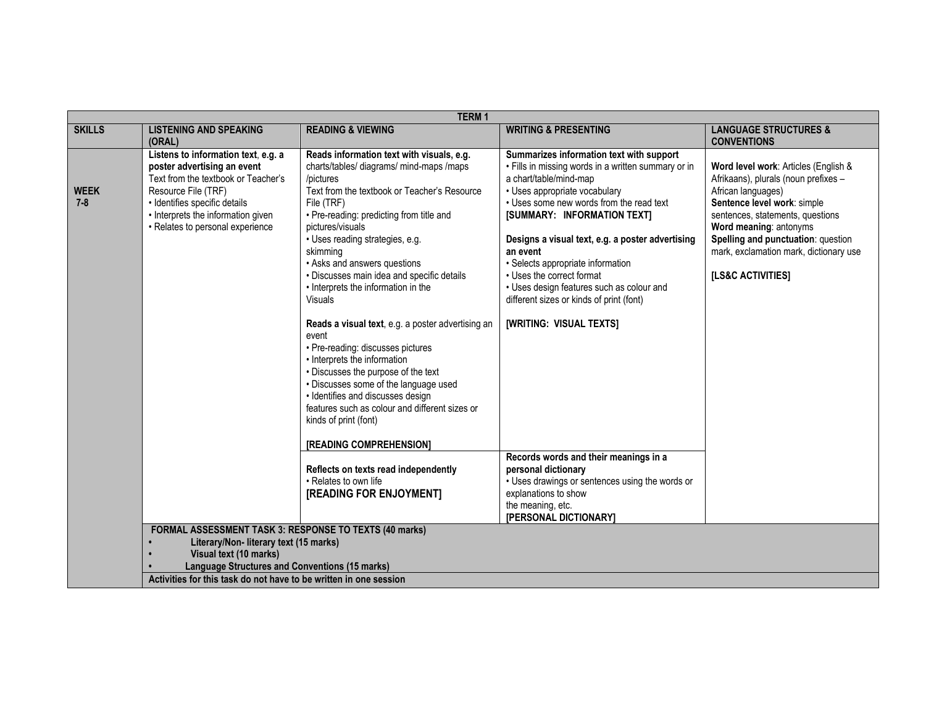|                        | <b>TERM1</b>                                                                                                                                                                                                                                |                                                                                                                                                                                                                                                                                                                                                                                                                                                                                                                                                                                                                                                                                                                                                           |                                                                                                                                                                                                                                                                                                                                                                                                                                                                                                    |                                                                                                                                                                                                                                                                                                      |  |
|------------------------|---------------------------------------------------------------------------------------------------------------------------------------------------------------------------------------------------------------------------------------------|-----------------------------------------------------------------------------------------------------------------------------------------------------------------------------------------------------------------------------------------------------------------------------------------------------------------------------------------------------------------------------------------------------------------------------------------------------------------------------------------------------------------------------------------------------------------------------------------------------------------------------------------------------------------------------------------------------------------------------------------------------------|----------------------------------------------------------------------------------------------------------------------------------------------------------------------------------------------------------------------------------------------------------------------------------------------------------------------------------------------------------------------------------------------------------------------------------------------------------------------------------------------------|------------------------------------------------------------------------------------------------------------------------------------------------------------------------------------------------------------------------------------------------------------------------------------------------------|--|
| <b>SKILLS</b>          | <b>LISTENING AND SPEAKING</b><br>(ORAL)                                                                                                                                                                                                     | <b>READING &amp; VIEWING</b>                                                                                                                                                                                                                                                                                                                                                                                                                                                                                                                                                                                                                                                                                                                              | <b>WRITING &amp; PRESENTING</b>                                                                                                                                                                                                                                                                                                                                                                                                                                                                    | <b>LANGUAGE STRUCTURES &amp;</b><br><b>CONVENTIONS</b>                                                                                                                                                                                                                                               |  |
| <b>WEEK</b><br>$7 - 8$ | Listens to information text, e.g. a<br>poster advertising an event<br>Text from the textbook or Teacher's<br>Resource File (TRF)<br>· Identifies specific details<br>• Interprets the information given<br>• Relates to personal experience | Reads information text with visuals, e.g.<br>charts/tables/ diagrams/ mind-maps /maps<br>/pictures<br>Text from the textbook or Teacher's Resource<br>File (TRF)<br>· Pre-reading: predicting from title and<br>pictures/visuals<br>• Uses reading strategies, e.g.<br>skimming<br>• Asks and answers questions<br>· Discusses main idea and specific details<br>• Interprets the information in the<br><b>Visuals</b><br>Reads a visual text, e.g. a poster advertising an<br>event<br>• Pre-reading: discusses pictures<br>• Interprets the information<br>• Discusses the purpose of the text<br>• Discusses some of the language used<br>· Identifies and discusses design<br>features such as colour and different sizes or<br>kinds of print (font) | Summarizes information text with support<br>. Fills in missing words in a written summary or in<br>a chart/table/mind-map<br>• Uses appropriate vocabulary<br>• Uses some new words from the read text<br>[SUMMARY: INFORMATION TEXT]<br>Designs a visual text, e.g. a poster advertising<br>an event<br>· Selects appropriate information<br>• Uses the correct format<br>• Uses design features such as colour and<br>different sizes or kinds of print (font)<br><b>[WRITING: VISUAL TEXTS]</b> | Word level work: Articles (English &<br>Afrikaans), plurals (noun prefixes -<br>African languages)<br>Sentence level work: simple<br>sentences, statements, questions<br>Word meaning: antonyms<br>Spelling and punctuation: question<br>mark, exclamation mark, dictionary use<br>[LS&C ACTIVITIES] |  |
|                        |                                                                                                                                                                                                                                             | [READING COMPREHENSION]<br>Reflects on texts read independently<br>• Relates to own life<br>[READING FOR ENJOYMENT]                                                                                                                                                                                                                                                                                                                                                                                                                                                                                                                                                                                                                                       | Records words and their meanings in a<br>personal dictionary<br>• Uses drawings or sentences using the words or<br>explanations to show<br>the meaning, etc.<br>[PERSONAL DICTIONARY]                                                                                                                                                                                                                                                                                                              |                                                                                                                                                                                                                                                                                                      |  |
|                        | <b>FORMAL ASSESSMENT TASK 3: RESPONSE TO TEXTS (40 marks)</b><br>Literary/Non- literary text (15 marks)<br>Visual text (10 marks)<br><b>Language Structures and Conventions (15 marks)</b>                                                  |                                                                                                                                                                                                                                                                                                                                                                                                                                                                                                                                                                                                                                                                                                                                                           |                                                                                                                                                                                                                                                                                                                                                                                                                                                                                                    |                                                                                                                                                                                                                                                                                                      |  |
|                        | Activities for this task do not have to be written in one session                                                                                                                                                                           |                                                                                                                                                                                                                                                                                                                                                                                                                                                                                                                                                                                                                                                                                                                                                           |                                                                                                                                                                                                                                                                                                                                                                                                                                                                                                    |                                                                                                                                                                                                                                                                                                      |  |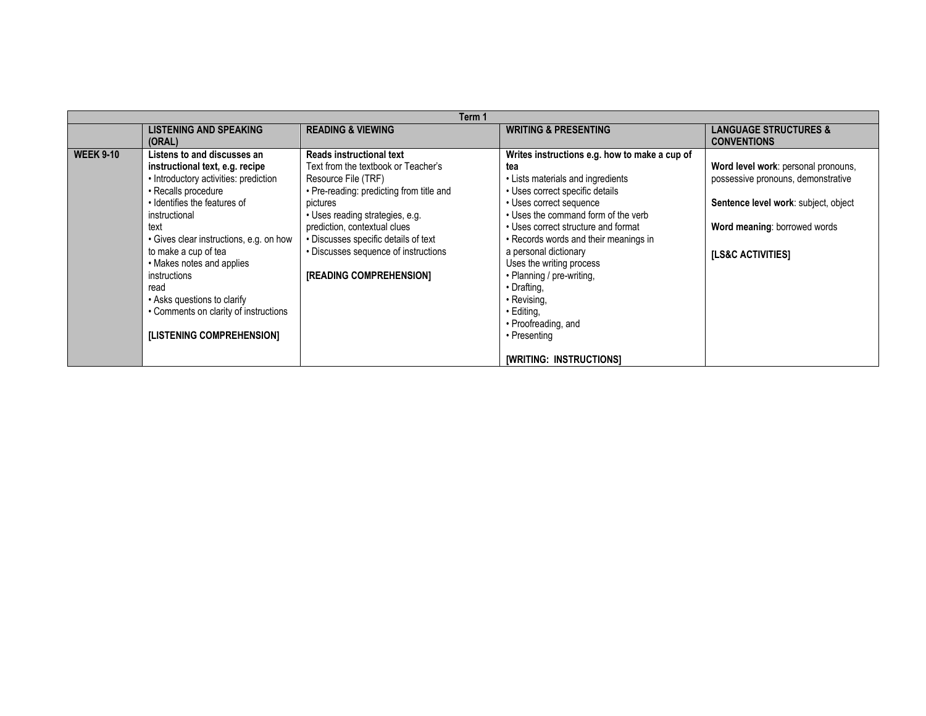|                  | Term 1                                                                                                                                                                                                                                                                                                                                                                                                                      |                                                                                                                                                                                                                                                                                                                                     |                                                                                                                                                                                                                                                                                                                                                                                                                                                           |                                                                                                                                                                                   |  |
|------------------|-----------------------------------------------------------------------------------------------------------------------------------------------------------------------------------------------------------------------------------------------------------------------------------------------------------------------------------------------------------------------------------------------------------------------------|-------------------------------------------------------------------------------------------------------------------------------------------------------------------------------------------------------------------------------------------------------------------------------------------------------------------------------------|-----------------------------------------------------------------------------------------------------------------------------------------------------------------------------------------------------------------------------------------------------------------------------------------------------------------------------------------------------------------------------------------------------------------------------------------------------------|-----------------------------------------------------------------------------------------------------------------------------------------------------------------------------------|--|
|                  | <b>LISTENING AND SPEAKING</b><br>(ORAL)                                                                                                                                                                                                                                                                                                                                                                                     | <b>READING &amp; VIEWING</b>                                                                                                                                                                                                                                                                                                        | <b>WRITING &amp; PRESENTING</b>                                                                                                                                                                                                                                                                                                                                                                                                                           | <b>LANGUAGE STRUCTURES &amp;</b><br><b>CONVENTIONS</b>                                                                                                                            |  |
| <b>WEEK 9-10</b> | Listens to and discusses an<br>instructional text, e.g. recipe<br>• Introductory activities: prediction<br>• Recalls procedure<br>. Identifies the features of<br>instructional<br>text<br>• Gives clear instructions, e.g. on how<br>to make a cup of tea<br>• Makes notes and applies<br>instructions<br>read<br>• Asks questions to clarify<br>• Comments on clarity of instructions<br><b>ILISTENING COMPREHENSION1</b> | <b>Reads instructional text</b><br>Text from the textbook or Teacher's<br>Resource File (TRF)<br>• Pre-reading: predicting from title and<br>pictures<br>• Uses reading strategies, e.g.<br>prediction, contextual clues<br>• Discusses specific details of text<br>• Discusses sequence of instructions<br>[READING COMPREHENSION] | Writes instructions e.g. how to make a cup of<br>tea<br>• Lists materials and ingredients<br>• Uses correct specific details<br>• Uses correct sequence<br>• Uses the command form of the verb<br>• Uses correct structure and format<br>• Records words and their meanings in<br>a personal dictionary<br>Uses the writing process<br>• Planning / pre-writing,<br>• Drafting,<br>• Revising,<br>$\cdot$ Editing.<br>• Proofreading, and<br>• Presenting | Word level work: personal pronouns,<br>possessive pronouns, demonstrative<br>Sentence level work: subject, object<br>Word meaning: borrowed words<br><b>ILS&amp;C ACTIVITIES1</b> |  |
|                  |                                                                                                                                                                                                                                                                                                                                                                                                                             |                                                                                                                                                                                                                                                                                                                                     | <b>IWRITING: INSTRUCTIONS1</b>                                                                                                                                                                                                                                                                                                                                                                                                                            |                                                                                                                                                                                   |  |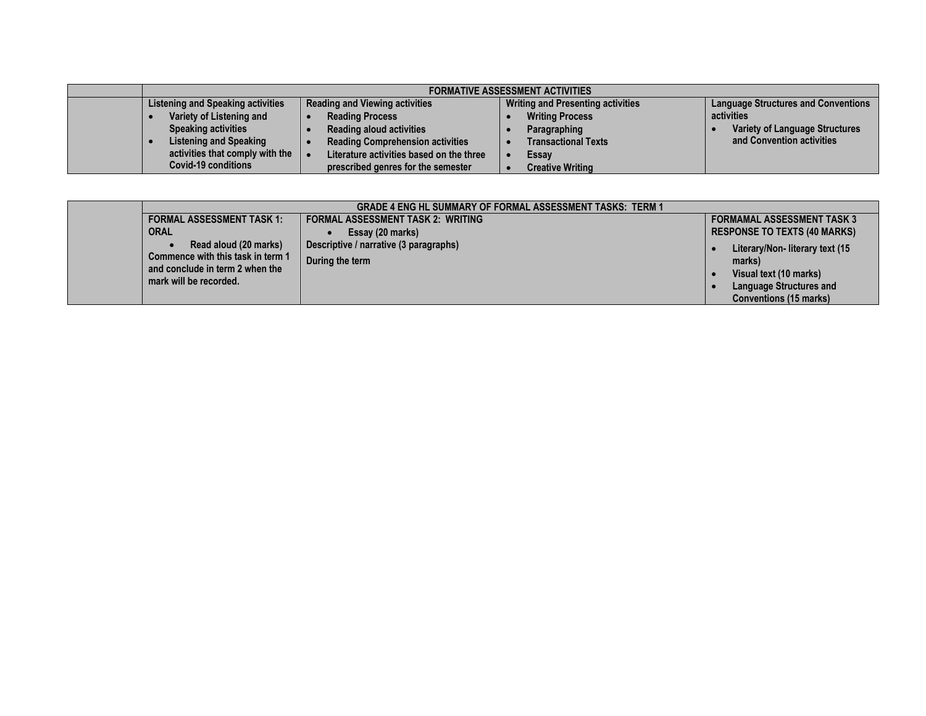| <b>FORMATIVE ASSESSMENT ACTIVITIES</b>   |                                          |                                          |                                            |  |
|------------------------------------------|------------------------------------------|------------------------------------------|--------------------------------------------|--|
| <b>Listening and Speaking activities</b> | <b>Reading and Viewing activities</b>    | <b>Writing and Presenting activities</b> | <b>Language Structures and Conventions</b> |  |
| Variety of Listening and                 | <b>Reading Process</b>                   | <b>Writing Process</b>                   | activities                                 |  |
| <b>Speaking activities</b>               | <b>Reading aloud activities</b>          | Paragraphing                             | <b>Variety of Language Structures</b>      |  |
| Listening and Speaking                   | <b>Reading Comprehension activities</b>  | <b>Transactional Texts</b>               | and Convention activities                  |  |
| activities that comply with the          | Literature activities based on the three | Essay                                    |                                            |  |
| <b>Covid-19 conditions</b>               | prescribed genres for the semester       | <b>Creative Writing</b>                  |                                            |  |

| <b>GRADE 4 ENG HL SUMMARY OF FORMAL ASSESSMENT TASKS: TERM 1</b>                                                        |                                                           |                                                                    |  |  |
|-------------------------------------------------------------------------------------------------------------------------|-----------------------------------------------------------|--------------------------------------------------------------------|--|--|
| <b>FORMAL ASSESSMENT TASK 1:</b>                                                                                        | <b>FORMAL ASSESSMENT TASK 2: WRITING</b>                  | <b>FORMAMAL ASSESSMENT TASK 3</b>                                  |  |  |
| <b>ORAL</b>                                                                                                             | Essay (20 marks)                                          | <b>RESPONSE TO TEXTS (40 MARKS)</b>                                |  |  |
| Read aloud (20 marks)<br>Commence with this task in term 1<br>and conclude in term 2 when the<br>mark will be recorded. | Descriptive / narrative (3 paragraphs)<br>During the term | Literary/Non-literary text (15<br>marks)<br>Visual text (10 marks) |  |  |
|                                                                                                                         |                                                           | <b>Language Structures and</b><br><b>Conventions (15 marks)</b>    |  |  |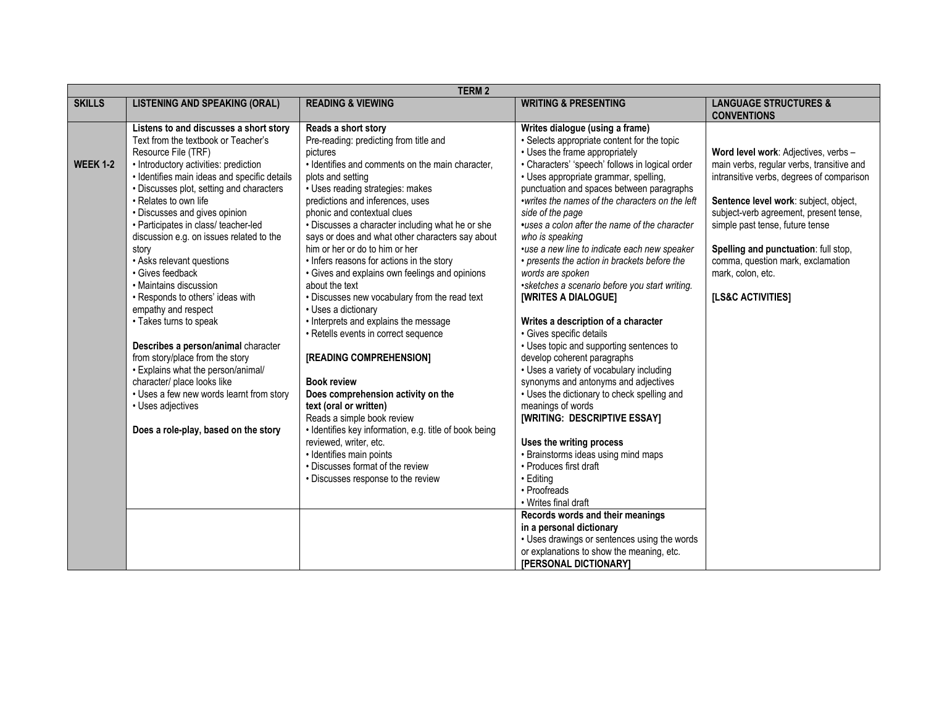|                 | <b>TERM2</b>                                                                                                                                                                                                                                                                                                                                                                                                                                                                                                                                                                                                                                                                                                                                                                                                             |                                                                                                                                                                                                                                                                                                                                                                                                                                                                                                                                                                                                                                                                                                                                                                                                                                                                                                                                                                                                                        |                                                                                                                                                                                                                                                                                                                                                                                                                                                                                                                                                                                                                                                                                                                                                                                                                                                                                                                                                                                                                                                                                                                                                                                                                                                         |                                                                                                                                                                                                                                                                                                                                                                                        |  |
|-----------------|--------------------------------------------------------------------------------------------------------------------------------------------------------------------------------------------------------------------------------------------------------------------------------------------------------------------------------------------------------------------------------------------------------------------------------------------------------------------------------------------------------------------------------------------------------------------------------------------------------------------------------------------------------------------------------------------------------------------------------------------------------------------------------------------------------------------------|------------------------------------------------------------------------------------------------------------------------------------------------------------------------------------------------------------------------------------------------------------------------------------------------------------------------------------------------------------------------------------------------------------------------------------------------------------------------------------------------------------------------------------------------------------------------------------------------------------------------------------------------------------------------------------------------------------------------------------------------------------------------------------------------------------------------------------------------------------------------------------------------------------------------------------------------------------------------------------------------------------------------|---------------------------------------------------------------------------------------------------------------------------------------------------------------------------------------------------------------------------------------------------------------------------------------------------------------------------------------------------------------------------------------------------------------------------------------------------------------------------------------------------------------------------------------------------------------------------------------------------------------------------------------------------------------------------------------------------------------------------------------------------------------------------------------------------------------------------------------------------------------------------------------------------------------------------------------------------------------------------------------------------------------------------------------------------------------------------------------------------------------------------------------------------------------------------------------------------------------------------------------------------------|----------------------------------------------------------------------------------------------------------------------------------------------------------------------------------------------------------------------------------------------------------------------------------------------------------------------------------------------------------------------------------------|--|
| <b>SKILLS</b>   | <b>LISTENING AND SPEAKING (ORAL)</b>                                                                                                                                                                                                                                                                                                                                                                                                                                                                                                                                                                                                                                                                                                                                                                                     | <b>READING &amp; VIEWING</b>                                                                                                                                                                                                                                                                                                                                                                                                                                                                                                                                                                                                                                                                                                                                                                                                                                                                                                                                                                                           | <b>WRITING &amp; PRESENTING</b>                                                                                                                                                                                                                                                                                                                                                                                                                                                                                                                                                                                                                                                                                                                                                                                                                                                                                                                                                                                                                                                                                                                                                                                                                         | <b>LANGUAGE STRUCTURES &amp;</b><br><b>CONVENTIONS</b>                                                                                                                                                                                                                                                                                                                                 |  |
| <b>WEEK 1-2</b> | Listens to and discusses a short story<br>Text from the textbook or Teacher's<br>Resource File (TRF)<br>• Introductory activities: prediction<br>· Identifies main ideas and specific details<br>• Discusses plot, setting and characters<br>• Relates to own life<br>• Discusses and gives opinion<br>· Participates in class/ teacher-led<br>discussion e.g. on issues related to the<br>story<br>• Asks relevant questions<br>• Gives feedback<br>• Maintains discussion<br>• Responds to others' ideas with<br>empathy and respect<br>• Takes turns to speak<br>Describes a person/animal character<br>from story/place from the story<br>• Explains what the person/animal/<br>character/ place looks like<br>• Uses a few new words learnt from story<br>• Uses adjectives<br>Does a role-play, based on the story | Reads a short story<br>Pre-reading: predicting from title and<br>pictures<br>· Identifies and comments on the main character,<br>plots and setting<br>• Uses reading strategies: makes<br>predictions and inferences, uses<br>phonic and contextual clues<br>• Discusses a character including what he or she<br>says or does and what other characters say about<br>him or her or do to him or her<br>• Infers reasons for actions in the story<br>• Gives and explains own feelings and opinions<br>about the text<br>• Discusses new vocabulary from the read text<br>• Uses a dictionary<br>• Interprets and explains the message<br>• Retells events in correct sequence<br>[READING COMPREHENSION]<br><b>Book review</b><br>Does comprehension activity on the<br>text (oral or written)<br>Reads a simple book review<br>· Identifies key information, e.g. title of book being<br>reviewed, writer, etc.<br>· Identifies main points<br>• Discusses format of the review<br>• Discusses response to the review | Writes dialogue (using a frame)<br>• Selects appropriate content for the topic<br>• Uses the frame appropriately<br>· Characters' 'speech' follows in logical order<br>• Uses appropriate grammar, spelling,<br>punctuation and spaces between paragraphs<br>• writes the names of the characters on the left<br>side of the page<br>•uses a colon after the name of the character<br>who is speaking<br>•use a new line to indicate each new speaker<br>• presents the action in brackets before the<br>words are spoken<br>*sketches a scenario before you start writing.<br>[WRITES A DIALOGUE]<br>Writes a description of a character<br>· Gives specific details<br>• Uses topic and supporting sentences to<br>develop coherent paragraphs<br>• Uses a variety of vocabulary including<br>synonyms and antonyms and adjectives<br>• Uses the dictionary to check spelling and<br>meanings of words<br>[WRITING: DESCRIPTIVE ESSAY]<br>Uses the writing process<br>• Brainstorms ideas using mind maps<br>• Produces first draft<br>• Editing<br>• Proofreads<br>• Writes final draft<br>Records words and their meanings<br>in a personal dictionary<br>• Uses drawings or sentences using the words<br>or explanations to show the meaning, etc. | Word level work: Adjectives, verbs -<br>main verbs, regular verbs, transitive and<br>intransitive verbs, degrees of comparison<br>Sentence level work: subject, object,<br>subject-verb agreement, present tense,<br>simple past tense, future tense<br>Spelling and punctuation: full stop,<br>comma, question mark, exclamation<br>mark, colon, etc.<br><b>[LS&amp;C ACTIVITIES]</b> |  |
|                 |                                                                                                                                                                                                                                                                                                                                                                                                                                                                                                                                                                                                                                                                                                                                                                                                                          |                                                                                                                                                                                                                                                                                                                                                                                                                                                                                                                                                                                                                                                                                                                                                                                                                                                                                                                                                                                                                        | [PERSONAL DICTIONARY]                                                                                                                                                                                                                                                                                                                                                                                                                                                                                                                                                                                                                                                                                                                                                                                                                                                                                                                                                                                                                                                                                                                                                                                                                                   |                                                                                                                                                                                                                                                                                                                                                                                        |  |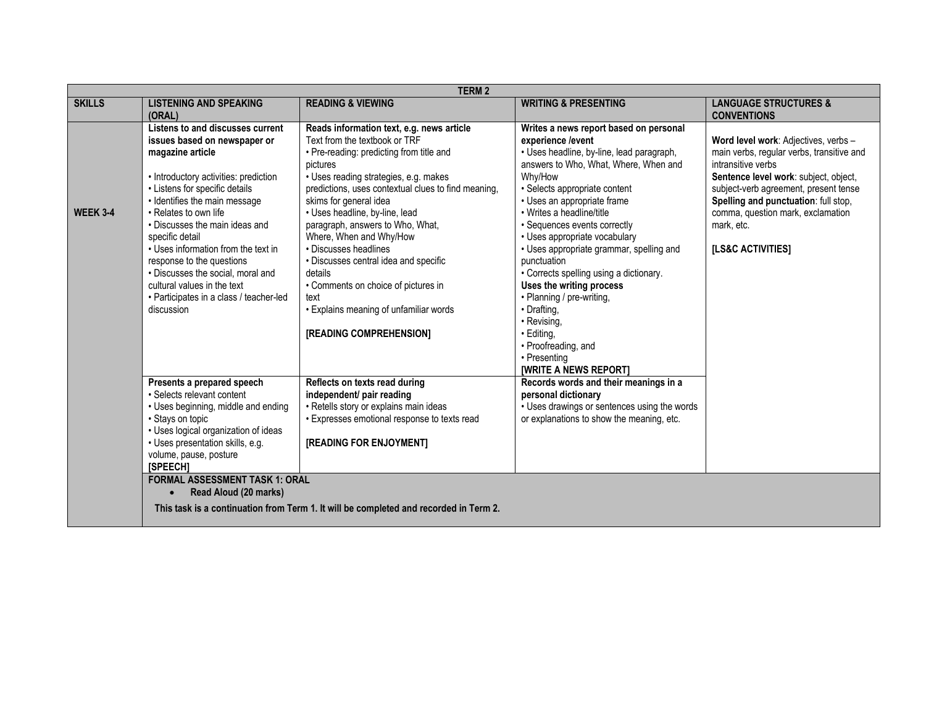|                 | <b>TERM2</b>                                                                                                                                                                                                                                                                                                                                                                                                                                                                    |                                                                                                                                                                                                                                                                                                                                                                                                                                                                                                                                                                |                                                                                                                                                                                                                                                                                                                                                                                                                                                                                                                                                                                                              |                                                                                                                                                                                                                                                                                                           |  |
|-----------------|---------------------------------------------------------------------------------------------------------------------------------------------------------------------------------------------------------------------------------------------------------------------------------------------------------------------------------------------------------------------------------------------------------------------------------------------------------------------------------|----------------------------------------------------------------------------------------------------------------------------------------------------------------------------------------------------------------------------------------------------------------------------------------------------------------------------------------------------------------------------------------------------------------------------------------------------------------------------------------------------------------------------------------------------------------|--------------------------------------------------------------------------------------------------------------------------------------------------------------------------------------------------------------------------------------------------------------------------------------------------------------------------------------------------------------------------------------------------------------------------------------------------------------------------------------------------------------------------------------------------------------------------------------------------------------|-----------------------------------------------------------------------------------------------------------------------------------------------------------------------------------------------------------------------------------------------------------------------------------------------------------|--|
| <b>SKILLS</b>   | <b>LISTENING AND SPEAKING</b><br>(ORAL)                                                                                                                                                                                                                                                                                                                                                                                                                                         | <b>READING &amp; VIEWING</b>                                                                                                                                                                                                                                                                                                                                                                                                                                                                                                                                   | <b>WRITING &amp; PRESENTING</b>                                                                                                                                                                                                                                                                                                                                                                                                                                                                                                                                                                              | <b>LANGUAGE STRUCTURES &amp;</b><br><b>CONVENTIONS</b>                                                                                                                                                                                                                                                    |  |
| <b>WEEK 3-4</b> | Listens to and discusses current<br>issues based on newspaper or<br>magazine article<br>• Introductory activities: prediction<br>• Listens for specific details<br>· Identifies the main message<br>• Relates to own life<br>. Discusses the main ideas and<br>specific detail<br>• Uses information from the text in<br>response to the questions<br>• Discusses the social, moral and<br>cultural values in the text<br>• Participates in a class / teacher-led<br>discussion | Reads information text, e.g. news article<br>Text from the textbook or TRF<br>• Pre-reading: predicting from title and<br>pictures<br>· Uses reading strategies, e.g. makes<br>predictions, uses contextual clues to find meaning,<br>skims for general idea<br>• Uses headline, by-line, lead<br>paragraph, answers to Who, What,<br>Where, When and Why/How<br>• Discusses headlines<br>• Discusses central idea and specific<br>details<br>• Comments on choice of pictures in<br>text<br>• Explains meaning of unfamiliar words<br>[READING COMPREHENSION] | Writes a news report based on personal<br>experience /event<br>· Uses headline, by-line, lead paragraph,<br>answers to Who, What, Where, When and<br>Why/How<br>· Selects appropriate content<br>• Uses an appropriate frame<br>• Writes a headline/title<br>• Sequences events correctly<br>• Uses appropriate vocabulary<br>• Uses appropriate grammar, spelling and<br>punctuation<br>• Corrects spelling using a dictionary.<br>Uses the writing process<br>· Planning / pre-writing,<br>• Drafting.<br>• Revising,<br>· Editina.<br>• Proofreading, and<br>• Presenting<br><b>IWRITE A NEWS REPORTI</b> | Word level work: Adjectives, verbs -<br>main verbs, regular verbs, transitive and<br>intransitive verbs<br>Sentence level work: subject, object,<br>subject-verb agreement, present tense<br>Spelling and punctuation: full stop,<br>comma, question mark, exclamation<br>mark, etc.<br>[LS&C ACTIVITIES] |  |
|                 | Presents a prepared speech<br>• Selects relevant content<br>• Uses beginning, middle and ending<br>• Stays on topic<br>• Uses logical organization of ideas<br>• Uses presentation skills, e.g.<br>volume, pause, posture<br><b>[SPEECH]</b><br><b>FORMAL ASSESSMENT TASK 1: ORAL</b>                                                                                                                                                                                           | Reflects on texts read during<br>independent/ pair reading<br>· Retells story or explains main ideas<br>• Expresses emotional response to texts read<br>[READING FOR ENJOYMENT]                                                                                                                                                                                                                                                                                                                                                                                | Records words and their meanings in a<br>personal dictionary<br>• Uses drawings or sentences using the words<br>or explanations to show the meaning, etc.                                                                                                                                                                                                                                                                                                                                                                                                                                                    |                                                                                                                                                                                                                                                                                                           |  |
|                 | Read Aloud (20 marks)<br>$\bullet$                                                                                                                                                                                                                                                                                                                                                                                                                                              | This task is a continuation from Term 1. It will be completed and recorded in Term 2.                                                                                                                                                                                                                                                                                                                                                                                                                                                                          |                                                                                                                                                                                                                                                                                                                                                                                                                                                                                                                                                                                                              |                                                                                                                                                                                                                                                                                                           |  |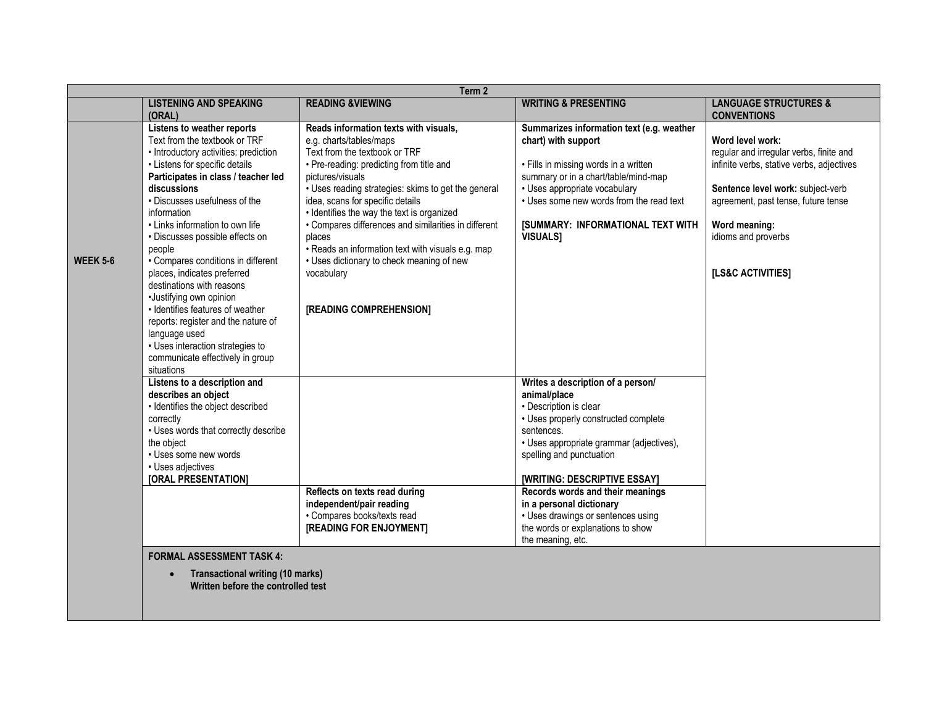| Term 2                                                                                                                                                                                                                                                                                                                                                                                                                                                                                                                                                                                                                                                         |                                                                                                                                                                                                                                                                                                                                                                                                                                                                                                                         |                                                                                                                                                                                                                                                                                                                                                                                                           |                                                                                                                                                                                                                                                   |  |
|----------------------------------------------------------------------------------------------------------------------------------------------------------------------------------------------------------------------------------------------------------------------------------------------------------------------------------------------------------------------------------------------------------------------------------------------------------------------------------------------------------------------------------------------------------------------------------------------------------------------------------------------------------------|-------------------------------------------------------------------------------------------------------------------------------------------------------------------------------------------------------------------------------------------------------------------------------------------------------------------------------------------------------------------------------------------------------------------------------------------------------------------------------------------------------------------------|-----------------------------------------------------------------------------------------------------------------------------------------------------------------------------------------------------------------------------------------------------------------------------------------------------------------------------------------------------------------------------------------------------------|---------------------------------------------------------------------------------------------------------------------------------------------------------------------------------------------------------------------------------------------------|--|
| <b>LISTENING AND SPEAKING</b><br>(ORAL)                                                                                                                                                                                                                                                                                                                                                                                                                                                                                                                                                                                                                        | <b>READING &amp;VIEWING</b>                                                                                                                                                                                                                                                                                                                                                                                                                                                                                             | <b>WRITING &amp; PRESENTING</b>                                                                                                                                                                                                                                                                                                                                                                           | <b>LANGUAGE STRUCTURES &amp;</b><br><b>CONVENTIONS</b>                                                                                                                                                                                            |  |
| Listens to weather reports<br>Text from the textbook or TRF<br>• Introductory activities: prediction<br>• Listens for specific details<br>Participates in class / teacher led<br>discussions<br>• Discusses usefulness of the<br>information<br>• Links information to own life<br>• Discusses possible effects on<br>people<br>• Compares conditions in different<br><b>WEEK 5-6</b><br>places, indicates preferred<br>destinations with reasons<br>·Justifying own opinion<br>• Identifies features of weather<br>reports: register and the nature of<br>language used<br>• Uses interaction strategies to<br>communicate effectively in group<br>situations | Reads information texts with visuals,<br>e.g. charts/tables/maps<br>Text from the textbook or TRF<br>• Pre-reading: predicting from title and<br>pictures/visuals<br>• Uses reading strategies: skims to get the general<br>idea, scans for specific details<br>• Identifies the way the text is organized<br>• Compares differences and similarities in different<br>places<br>• Reads an information text with visuals e.g. map<br>• Uses dictionary to check meaning of new<br>vocabulary<br>[READING COMPREHENSION] | Summarizes information text (e.g. weather<br>chart) with support<br>• Fills in missing words in a written<br>summary or in a chart/table/mind-map<br>· Uses appropriate vocabulary<br>. Uses some new words from the read text<br><b>[SUMMARY: INFORMATIONAL TEXT WITH</b><br><b>VISUALS1</b>                                                                                                             | Word level work:<br>regular and irregular verbs, finite and<br>infinite verbs, stative verbs, adjectives<br>Sentence level work: subject-verb<br>agreement, past tense, future tense<br>Word meaning:<br>idioms and proverbs<br>[LS&C ACTIVITIES] |  |
| Listens to a description and<br>describes an object<br>• Identifies the object described<br>correctly<br>• Uses words that correctly describe<br>the object<br>• Uses some new words<br>• Uses adjectives<br>[ORAL PRESENTATION]<br><b>FORMAL ASSESSMENT TASK 4:</b>                                                                                                                                                                                                                                                                                                                                                                                           | Reflects on texts read during<br>independent/pair reading<br>• Compares books/texts read<br>[READING FOR ENJOYMENT]<br><b>Transactional writing (10 marks)</b><br>Written before the controlled test                                                                                                                                                                                                                                                                                                                    | Writes a description of a person/<br>animal/place<br>• Description is clear<br>• Uses properly constructed complete<br>sentences.<br>· Uses appropriate grammar (adjectives),<br>spelling and punctuation<br>[WRITING: DESCRIPTIVE ESSAY]<br>Records words and their meanings<br>in a personal dictionary<br>• Uses drawings or sentences using<br>the words or explanations to show<br>the meaning, etc. |                                                                                                                                                                                                                                                   |  |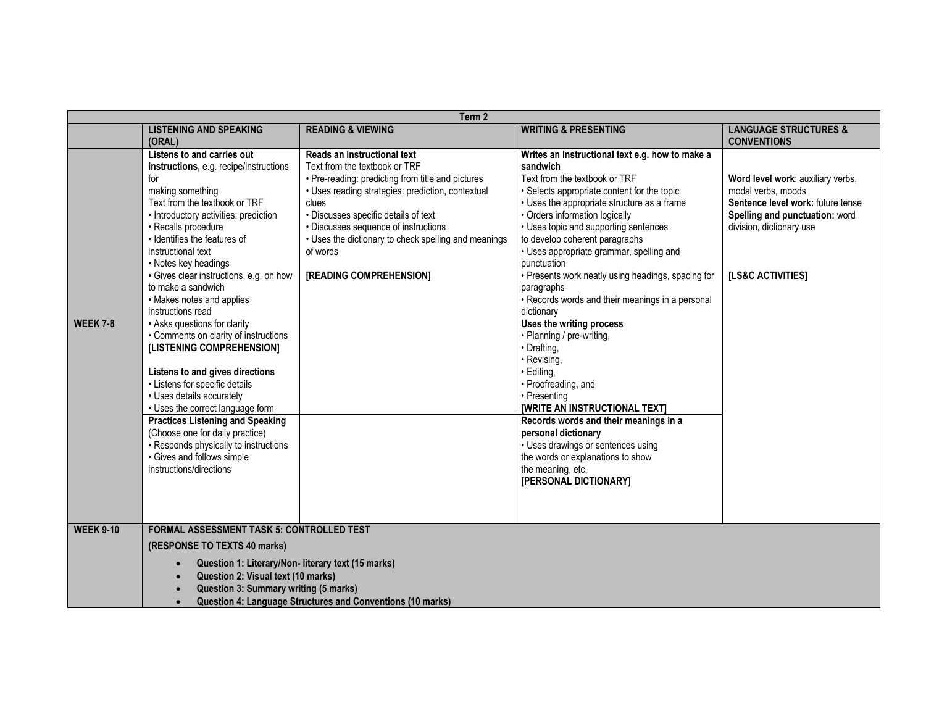| Term 2           |                                                                                                                                                                                                                                                                                                                                                                                                                                                                                                                                                                                                                                                                                                                                                                                                                               |                                                                                                                                                                                                                                                                                                                                                                |                                                                                                                                                                                                                                                                                                                                                                                                                                                                                                                                                                                                                                                                                                                                                                                                                                                                                |                                                                                                                                                                                 |
|------------------|-------------------------------------------------------------------------------------------------------------------------------------------------------------------------------------------------------------------------------------------------------------------------------------------------------------------------------------------------------------------------------------------------------------------------------------------------------------------------------------------------------------------------------------------------------------------------------------------------------------------------------------------------------------------------------------------------------------------------------------------------------------------------------------------------------------------------------|----------------------------------------------------------------------------------------------------------------------------------------------------------------------------------------------------------------------------------------------------------------------------------------------------------------------------------------------------------------|--------------------------------------------------------------------------------------------------------------------------------------------------------------------------------------------------------------------------------------------------------------------------------------------------------------------------------------------------------------------------------------------------------------------------------------------------------------------------------------------------------------------------------------------------------------------------------------------------------------------------------------------------------------------------------------------------------------------------------------------------------------------------------------------------------------------------------------------------------------------------------|---------------------------------------------------------------------------------------------------------------------------------------------------------------------------------|
|                  | <b>LISTENING AND SPEAKING</b><br>(ORAL)                                                                                                                                                                                                                                                                                                                                                                                                                                                                                                                                                                                                                                                                                                                                                                                       | <b>READING &amp; VIEWING</b>                                                                                                                                                                                                                                                                                                                                   | <b>WRITING &amp; PRESENTING</b>                                                                                                                                                                                                                                                                                                                                                                                                                                                                                                                                                                                                                                                                                                                                                                                                                                                | <b>LANGUAGE STRUCTURES &amp;</b><br><b>CONVENTIONS</b>                                                                                                                          |
| <b>WEEK 7-8</b>  | Listens to and carries out<br>instructions, e.g. recipe/instructions<br>for<br>making something<br>Text from the textbook or TRF<br>• Introductory activities: prediction<br>• Recalls procedure<br>· Identifies the features of<br>instructional text<br>• Notes key headings<br>· Gives clear instructions, e.g. on how<br>to make a sandwich<br>• Makes notes and applies<br>instructions read<br>• Asks questions for clarity<br>• Comments on clarity of instructions<br>[LISTENING COMPREHENSION]<br>Listens to and gives directions<br>• Listens for specific details<br>• Uses details accurately<br>• Uses the correct language form<br><b>Practices Listening and Speaking</b><br>(Choose one for daily practice)<br>• Responds physically to instructions<br>• Gives and follows simple<br>instructions/directions | Reads an instructional text<br>Text from the textbook or TRF<br>• Pre-reading: predicting from title and pictures<br>· Uses reading strategies: prediction, contextual<br>clues<br>· Discusses specific details of text<br>• Discusses sequence of instructions<br>• Uses the dictionary to check spelling and meanings<br>of words<br>[READING COMPREHENSION] | Writes an instructional text e.g. how to make a<br>sandwich<br>Text from the textbook or TRF<br>• Selects appropriate content for the topic<br>• Uses the appropriate structure as a frame<br>• Orders information logically<br>• Uses topic and supporting sentences<br>to develop coherent paragraphs<br>• Uses appropriate grammar, spelling and<br>punctuation<br>• Presents work neatly using headings, spacing for<br>paragraphs<br>• Records words and their meanings in a personal<br>dictionary<br>Uses the writing process<br>· Planning / pre-writing,<br>· Drafting,<br>· Revising,<br>• Editing,<br>· Proofreading, and<br>• Presenting<br>[WRITE AN INSTRUCTIONAL TEXT]<br>Records words and their meanings in a<br>personal dictionary<br>• Uses drawings or sentences using<br>the words or explanations to show<br>the meaning, etc.<br>[PERSONAL DICTIONARY] | Word level work: auxiliary verbs,<br>modal verbs, moods<br>Sentence level work: future tense<br>Spelling and punctuation: word<br>division, dictionary use<br>[LS&C ACTIVITIES] |
|                  | <b>FORMAL ASSESSMENT TASK 5: CONTROLLED TEST</b>                                                                                                                                                                                                                                                                                                                                                                                                                                                                                                                                                                                                                                                                                                                                                                              |                                                                                                                                                                                                                                                                                                                                                                |                                                                                                                                                                                                                                                                                                                                                                                                                                                                                                                                                                                                                                                                                                                                                                                                                                                                                |                                                                                                                                                                                 |
|                  |                                                                                                                                                                                                                                                                                                                                                                                                                                                                                                                                                                                                                                                                                                                                                                                                                               |                                                                                                                                                                                                                                                                                                                                                                |                                                                                                                                                                                                                                                                                                                                                                                                                                                                                                                                                                                                                                                                                                                                                                                                                                                                                |                                                                                                                                                                                 |
|                  | Question 2: Visual text (10 marks)                                                                                                                                                                                                                                                                                                                                                                                                                                                                                                                                                                                                                                                                                                                                                                                            |                                                                                                                                                                                                                                                                                                                                                                |                                                                                                                                                                                                                                                                                                                                                                                                                                                                                                                                                                                                                                                                                                                                                                                                                                                                                |                                                                                                                                                                                 |
|                  | $\bullet$                                                                                                                                                                                                                                                                                                                                                                                                                                                                                                                                                                                                                                                                                                                                                                                                                     |                                                                                                                                                                                                                                                                                                                                                                |                                                                                                                                                                                                                                                                                                                                                                                                                                                                                                                                                                                                                                                                                                                                                                                                                                                                                |                                                                                                                                                                                 |
| <b>WEEK 9-10</b> | (RESPONSE TO TEXTS 40 marks)<br>Question 1: Literary/Non- literary text (15 marks)<br>Question 3: Summary writing (5 marks)                                                                                                                                                                                                                                                                                                                                                                                                                                                                                                                                                                                                                                                                                                   | Question 4: Language Structures and Conventions (10 marks)                                                                                                                                                                                                                                                                                                     |                                                                                                                                                                                                                                                                                                                                                                                                                                                                                                                                                                                                                                                                                                                                                                                                                                                                                |                                                                                                                                                                                 |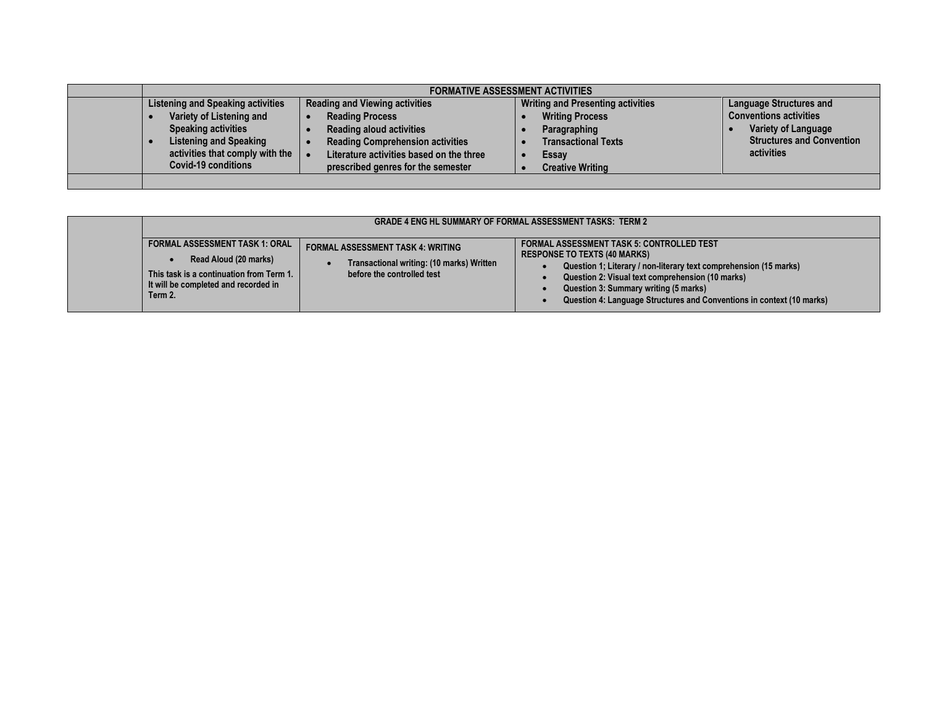| <b>FORMATIVE ASSESSMENT ACTIVITIES</b>                                                                                                                                                               |                                                                                                                                                                                                                                 |                                                                                                                                                      |                                                                                                                                                 |  |
|------------------------------------------------------------------------------------------------------------------------------------------------------------------------------------------------------|---------------------------------------------------------------------------------------------------------------------------------------------------------------------------------------------------------------------------------|------------------------------------------------------------------------------------------------------------------------------------------------------|-------------------------------------------------------------------------------------------------------------------------------------------------|--|
| <b>Listening and Speaking activities</b><br>Variety of Listening and<br><b>Speaking activities</b><br><b>Listening and Speaking</b><br>activities that comply with the<br><b>Covid-19 conditions</b> | <b>Reading and Viewing activities</b><br><b>Reading Process</b><br><b>Reading aloud activities</b><br><b>Reading Comprehension activities</b><br>Literature activities based on the three<br>prescribed genres for the semester | <b>Writing and Presenting activities</b><br><b>Writing Process</b><br>Paragraphing<br><b>Transactional Texts</b><br>Essay<br><b>Creative Writing</b> | <b>Language Structures and</b><br><b>Conventions activities</b><br><b>Variety of Language</b><br><b>Structures and Convention</b><br>activities |  |
|                                                                                                                                                                                                      |                                                                                                                                                                                                                                 |                                                                                                                                                      |                                                                                                                                                 |  |

|                                                                                                                                                               | <b>GRADE 4 ENG HL SUMMARY OF FORMAL ASSESSMENT TASKS: TERM 2</b>                                                    |                                                                                                                                                                                                                                                                                                                                    |
|---------------------------------------------------------------------------------------------------------------------------------------------------------------|---------------------------------------------------------------------------------------------------------------------|------------------------------------------------------------------------------------------------------------------------------------------------------------------------------------------------------------------------------------------------------------------------------------------------------------------------------------|
| <b>FORMAL ASSESSMENT TASK 1: ORAL</b><br>Read Aloud (20 marks)<br>This task is a continuation from Term 1.<br>It will be completed and recorded in<br>Term 2. | <b>FORMAL ASSESSMENT TASK 4: WRITING</b><br>Transactional writing: (10 marks) Written<br>before the controlled test | <b>FORMAL ASSESSMENT TASK 5: CONTROLLED TEST</b><br><b>RESPONSE TO TEXTS (40 MARKS)</b><br>Question 1; Literary / non-literary text comprehension (15 marks)<br>Question 2: Visual text comprehension (10 marks)<br>Question 3: Summary writing (5 marks)<br>Question 4: Language Structures and Conventions in context (10 marks) |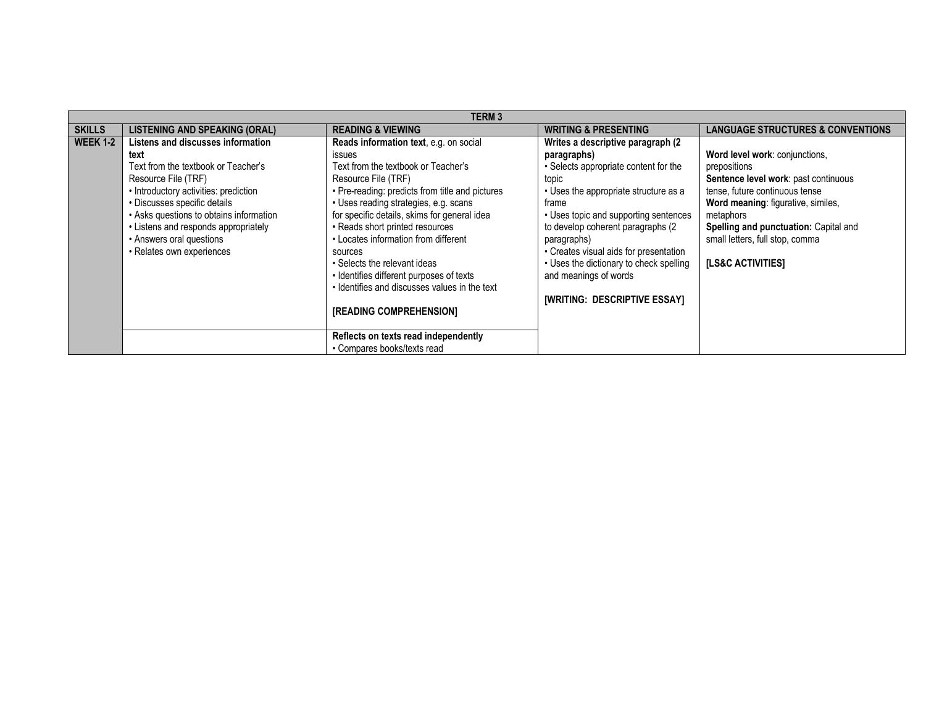|                 | <b>TERM3</b>                            |                                                 |                                         |                                              |  |
|-----------------|-----------------------------------------|-------------------------------------------------|-----------------------------------------|----------------------------------------------|--|
| <b>SKILLS</b>   | <b>LISTENING AND SPEAKING (ORAL)</b>    | <b>READING &amp; VIEWING</b>                    | <b>WRITING &amp; PRESENTING</b>         | <b>LANGUAGE STRUCTURES &amp; CONVENTIONS</b> |  |
| <b>WEEK 1-2</b> | Listens and discusses information       | Reads information text, e.g. on social          | Writes a descriptive paragraph (2)      |                                              |  |
|                 | text                                    | <b>issues</b>                                   | paragraphs)                             | Word level work: conjunctions,               |  |
|                 | Text from the textbook or Teacher's     | Text from the textbook or Teacher's             | • Selects appropriate content for the   | prepositions                                 |  |
|                 | Resource File (TRF)                     | Resource File (TRF)                             | topic                                   | Sentence level work: past continuous         |  |
|                 | • Introductory activities: prediction   | • Pre-reading: predicts from title and pictures | • Uses the appropriate structure as a   | tense, future continuous tense               |  |
|                 | • Discusses specific details            | • Uses reading strategies, e.g. scans           | frame                                   | Word meaning: figurative, similes,           |  |
|                 | • Asks questions to obtains information | for specific details, skims for general idea    | • Uses topic and supporting sentences   | metaphors                                    |  |
|                 | • Listens and responds appropriately    | • Reads short printed resources                 | to develop coherent paragraphs (2)      | Spelling and punctuation: Capital and        |  |
|                 | • Answers oral questions                | • Locates information from different            | paragraphs)                             | small letters, full stop, comma              |  |
|                 | • Relates own experiences               | sources                                         | • Creates visual aids for presentation  |                                              |  |
|                 |                                         | • Selects the relevant ideas                    | • Uses the dictionary to check spelling | <b>ILS&amp;C ACTIVITIES1</b>                 |  |
|                 |                                         | • Identifies different purposes of texts        | and meanings of words                   |                                              |  |
|                 |                                         | • Identifies and discusses values in the text   |                                         |                                              |  |
|                 |                                         |                                                 | <b>[WRITING: DESCRIPTIVE ESSAY]</b>     |                                              |  |
|                 |                                         | <b>[READING COMPREHENSION]</b>                  |                                         |                                              |  |
|                 |                                         |                                                 |                                         |                                              |  |
|                 |                                         | Reflects on texts read independently            |                                         |                                              |  |
|                 |                                         | • Compares books/texts read                     |                                         |                                              |  |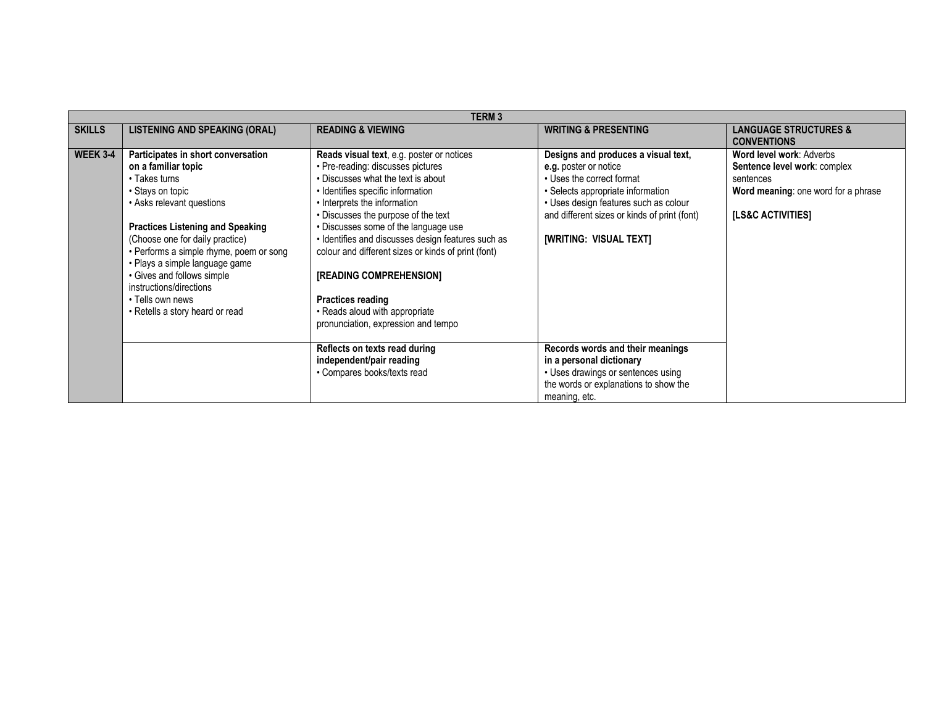| <b>TERM3</b>    |                                                                                                                                                                                                                                                                                                                                                                                                        |                                                                                                                                                                                                                                                                                                                                                                                                                                                                                                                              |                                                                                                                                                                                                                                                   |                                                                                                                                   |
|-----------------|--------------------------------------------------------------------------------------------------------------------------------------------------------------------------------------------------------------------------------------------------------------------------------------------------------------------------------------------------------------------------------------------------------|------------------------------------------------------------------------------------------------------------------------------------------------------------------------------------------------------------------------------------------------------------------------------------------------------------------------------------------------------------------------------------------------------------------------------------------------------------------------------------------------------------------------------|---------------------------------------------------------------------------------------------------------------------------------------------------------------------------------------------------------------------------------------------------|-----------------------------------------------------------------------------------------------------------------------------------|
| <b>SKILLS</b>   | <b>LISTENING AND SPEAKING (ORAL)</b>                                                                                                                                                                                                                                                                                                                                                                   | <b>READING &amp; VIEWING</b>                                                                                                                                                                                                                                                                                                                                                                                                                                                                                                 | <b>WRITING &amp; PRESENTING</b>                                                                                                                                                                                                                   | <b>LANGUAGE STRUCTURES &amp;</b><br><b>CONVENTIONS</b>                                                                            |
| <b>WEEK 3-4</b> | Participates in short conversation<br>on a familiar topic<br>• Takes turns<br>• Stays on topic<br>• Asks relevant questions<br><b>Practices Listening and Speaking</b><br>(Choose one for daily practice)<br>• Performs a simple rhyme, poem or song<br>• Plays a simple language game<br>• Gives and follows simple<br>instructions/directions<br>• Tells own news<br>• Retells a story heard or read | <b>Reads visual text, e.g. poster or notices</b><br>• Pre-reading: discusses pictures<br>• Discusses what the text is about<br>• Identifies specific information<br>• Interprets the information<br>• Discusses the purpose of the text<br>• Discusses some of the language use<br>· Identifies and discusses design features such as<br>colour and different sizes or kinds of print (font)<br>[READING COMPREHENSION]<br><b>Practices reading</b><br>• Reads aloud with appropriate<br>pronunciation, expression and tempo | Designs and produces a visual text,<br>e.g. poster or notice<br>• Uses the correct format<br>• Selects appropriate information<br>• Uses design features such as colour<br>and different sizes or kinds of print (font)<br>[WRITING: VISUAL TEXT] | Word level work: Adverbs<br>Sentence level work: complex<br>sentences<br>Word meaning: one word for a phrase<br>[LS&C ACTIVITIES] |
|                 |                                                                                                                                                                                                                                                                                                                                                                                                        | Reflects on texts read during<br>independent/pair reading<br>• Compares books/texts read                                                                                                                                                                                                                                                                                                                                                                                                                                     | Records words and their meanings<br>in a personal dictionary<br>• Uses drawings or sentences using<br>the words or explanations to show the<br>meaning, etc.                                                                                      |                                                                                                                                   |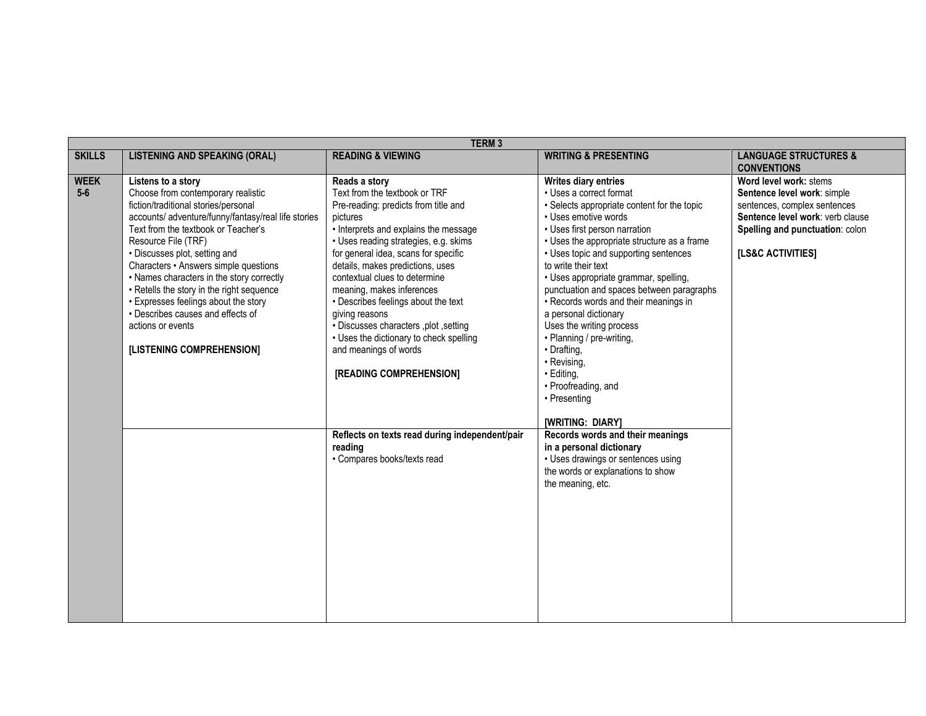| <b>TERM3</b>         |                                                                                                                                                                                                                                                                                                                                                                                                                                                                                                                          |                                                                                                                                                                                                                                                                                                                                                                                                                                                                                                                                   |                                                                                                                                                                                                                                                                                                                                                                                                                                                                                                                                                            |                                                                                                                                                                                   |
|----------------------|--------------------------------------------------------------------------------------------------------------------------------------------------------------------------------------------------------------------------------------------------------------------------------------------------------------------------------------------------------------------------------------------------------------------------------------------------------------------------------------------------------------------------|-----------------------------------------------------------------------------------------------------------------------------------------------------------------------------------------------------------------------------------------------------------------------------------------------------------------------------------------------------------------------------------------------------------------------------------------------------------------------------------------------------------------------------------|------------------------------------------------------------------------------------------------------------------------------------------------------------------------------------------------------------------------------------------------------------------------------------------------------------------------------------------------------------------------------------------------------------------------------------------------------------------------------------------------------------------------------------------------------------|-----------------------------------------------------------------------------------------------------------------------------------------------------------------------------------|
| <b>SKILLS</b>        | <b>LISTENING AND SPEAKING (ORAL)</b>                                                                                                                                                                                                                                                                                                                                                                                                                                                                                     | <b>READING &amp; VIEWING</b>                                                                                                                                                                                                                                                                                                                                                                                                                                                                                                      | <b>WRITING &amp; PRESENTING</b>                                                                                                                                                                                                                                                                                                                                                                                                                                                                                                                            | <b>LANGUAGE STRUCTURES &amp;</b><br><b>CONVENTIONS</b>                                                                                                                            |
| <b>WEEK</b><br>$5-6$ | Listens to a story<br>Choose from contemporary realistic<br>fiction/traditional stories/personal<br>accounts/ adventure/funny/fantasy/real life stories<br>Text from the textbook or Teacher's<br>Resource File (TRF)<br>• Discusses plot, setting and<br>Characters • Answers simple questions<br>• Names characters in the story correctly<br>• Retells the story in the right sequence<br>• Expresses feelings about the story<br>• Describes causes and effects of<br>actions or events<br>[LISTENING COMPREHENSION] | Reads a story<br>Text from the textbook or TRF<br>Pre-reading: predicts from title and<br>pictures<br>• Interprets and explains the message<br>• Uses reading strategies, e.g. skims<br>for general idea, scans for specific<br>details, makes predictions, uses<br>contextual clues to determine<br>meaning, makes inferences<br>• Describes feelings about the text<br>giving reasons<br>. Discusses characters , plot , setting<br>• Uses the dictionary to check spelling<br>and meanings of words<br>[READING COMPREHENSION] | Writes diary entries<br>• Uses a correct format<br>• Selects appropriate content for the topic<br>• Uses emotive words<br>• Uses first person narration<br>• Uses the appropriate structure as a frame<br>• Uses topic and supporting sentences<br>to write their text<br>• Uses appropriate grammar, spelling,<br>punctuation and spaces between paragraphs<br>• Records words and their meanings in<br>a personal dictionary<br>Uses the writing process<br>· Planning / pre-writing,<br>· Drafting,<br>· Revising,<br>• Editing,<br>· Proofreading, and | Word level work: stems<br>Sentence level work: simple<br>sentences, complex sentences<br>Sentence level work: verb clause<br>Spelling and punctuation: colon<br>[LS&C ACTIVITIES] |
|                      |                                                                                                                                                                                                                                                                                                                                                                                                                                                                                                                          | Reflects on texts read during independent/pair<br>reading<br>• Compares books/texts read                                                                                                                                                                                                                                                                                                                                                                                                                                          | • Presenting<br><b>[WRITING: DIARY]</b><br>Records words and their meanings<br>in a personal dictionary<br>• Uses drawings or sentences using<br>the words or explanations to show<br>the meaning, etc.                                                                                                                                                                                                                                                                                                                                                    |                                                                                                                                                                                   |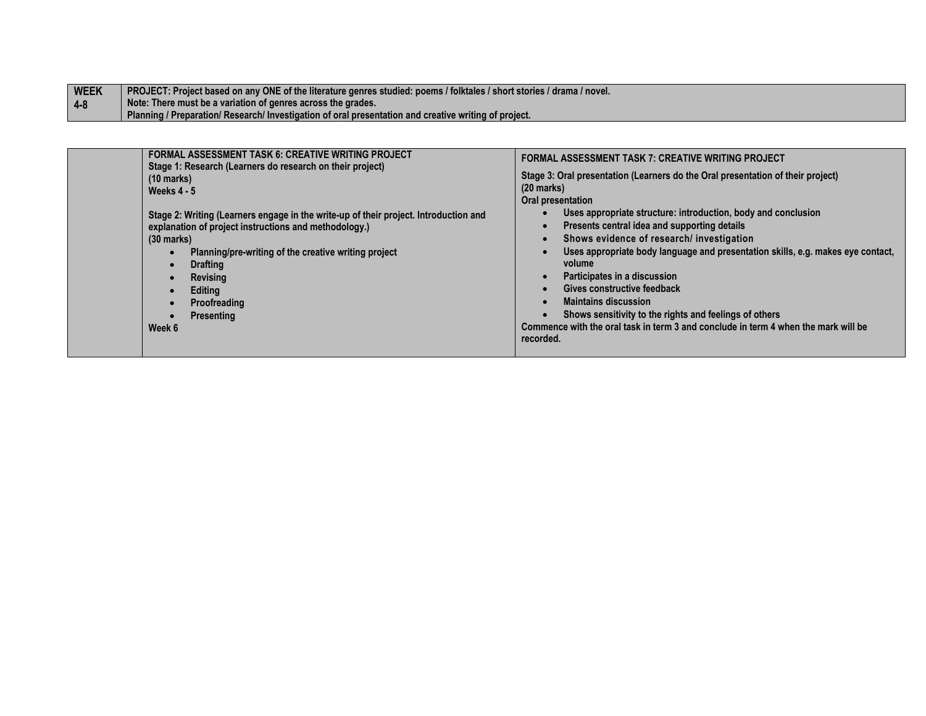| <b>WEEK</b> | PROJECT: Project based on any ONE of the literature genres studied: poems / folktales / short stories / drama / novel. |
|-------------|------------------------------------------------------------------------------------------------------------------------|
| $ 4-8 $     | Note: There must be a variation of genres across the grades.                                                           |
|             | <b>N</b> Planning / Preparation/ Research/ Investigation of oral presentation and creative writing of project.         |

| <b>FORMAL ASSESSMENT TASK 6: CREATIVE WRITING PROJECT</b><br>Stage 1: Research (Learners do research on their project)<br>(10 marks)<br>Weeks $4 - 5$<br>Stage 2: Writing (Learners engage in the write-up of their project. Introduction and<br>explanation of project instructions and methodology.)<br>$(30 \text{ marks})$<br>Planning/pre-writing of the creative writing project<br><b>Drafting</b><br>Revising<br>Editing<br>Proofreading<br><b>Presenting</b><br>Week 6 | <b>FORMAL ASSESSMENT TASK 7: CREATIVE WRITING PROJECT</b><br>Stage 3: Oral presentation (Learners do the Oral presentation of their project)<br>$(20$ marks)<br><b>Oral presentation</b><br>Uses appropriate structure: introduction, body and conclusion<br>Presents central idea and supporting details<br>$\bullet$<br>Shows evidence of research/ investigation<br>Uses appropriate body language and presentation skills, e.g. makes eye contact,<br>volume<br>Participates in a discussion<br>$\bullet$<br>Gives constructive feedback<br><b>Maintains discussion</b><br>$\bullet$<br>Shows sensitivity to the rights and feelings of others<br>Commence with the oral task in term 3 and conclude in term 4 when the mark will be<br>recorded. |
|---------------------------------------------------------------------------------------------------------------------------------------------------------------------------------------------------------------------------------------------------------------------------------------------------------------------------------------------------------------------------------------------------------------------------------------------------------------------------------|-------------------------------------------------------------------------------------------------------------------------------------------------------------------------------------------------------------------------------------------------------------------------------------------------------------------------------------------------------------------------------------------------------------------------------------------------------------------------------------------------------------------------------------------------------------------------------------------------------------------------------------------------------------------------------------------------------------------------------------------------------|
|---------------------------------------------------------------------------------------------------------------------------------------------------------------------------------------------------------------------------------------------------------------------------------------------------------------------------------------------------------------------------------------------------------------------------------------------------------------------------------|-------------------------------------------------------------------------------------------------------------------------------------------------------------------------------------------------------------------------------------------------------------------------------------------------------------------------------------------------------------------------------------------------------------------------------------------------------------------------------------------------------------------------------------------------------------------------------------------------------------------------------------------------------------------------------------------------------------------------------------------------------|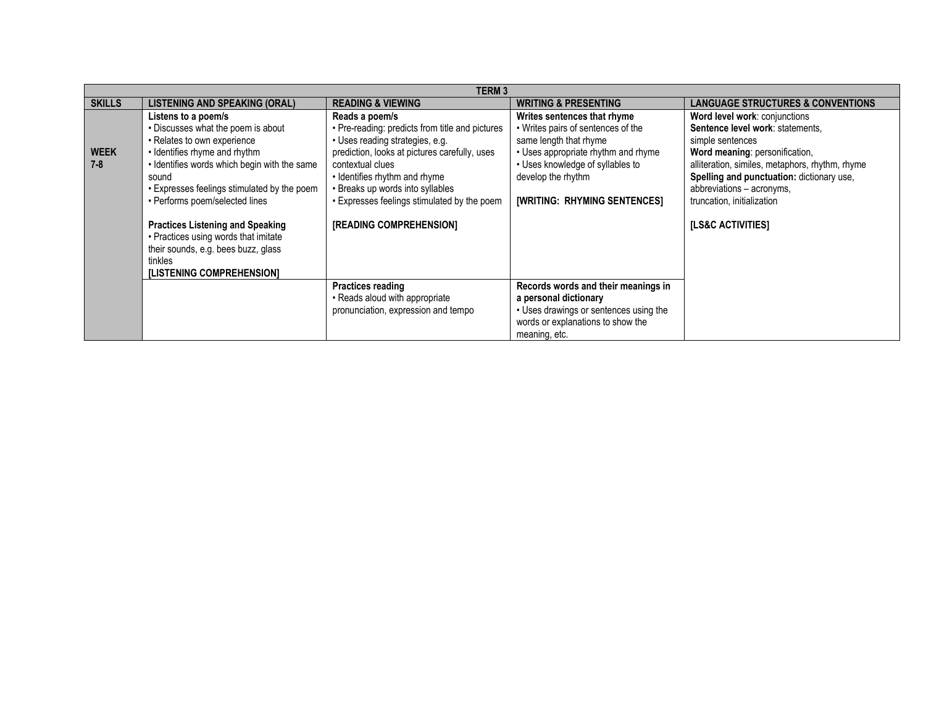|                        | <b>TERM3</b>                                                                                                                                                                                                                                                        |                                                                                                                                                                                                                                                                                               |                                                                                                                                                                                                                                     |                                                                                                                                                                                                                                                                                    |  |  |
|------------------------|---------------------------------------------------------------------------------------------------------------------------------------------------------------------------------------------------------------------------------------------------------------------|-----------------------------------------------------------------------------------------------------------------------------------------------------------------------------------------------------------------------------------------------------------------------------------------------|-------------------------------------------------------------------------------------------------------------------------------------------------------------------------------------------------------------------------------------|------------------------------------------------------------------------------------------------------------------------------------------------------------------------------------------------------------------------------------------------------------------------------------|--|--|
| <b>SKILLS</b>          | <b>LISTENING AND SPEAKING (ORAL)</b>                                                                                                                                                                                                                                | <b>READING &amp; VIEWING</b>                                                                                                                                                                                                                                                                  | <b>WRITING &amp; PRESENTING</b>                                                                                                                                                                                                     | <b>LANGUAGE STRUCTURES &amp; CONVENTIONS</b>                                                                                                                                                                                                                                       |  |  |
| <b>WEEK</b><br>$7 - 8$ | Listens to a poem/s<br>• Discusses what the poem is about<br>• Relates to own experience<br>• Identifies rhyme and rhythm<br>• Identifies words which begin with the same<br>sound<br>• Expresses feelings stimulated by the poem<br>• Performs poem/selected lines | Reads a poem/s<br>• Pre-reading: predicts from title and pictures<br>• Uses reading strategies, e.g.<br>prediction, looks at pictures carefully, uses<br>contextual clues<br>• Identifies rhythm and rhyme<br>• Breaks up words into syllables<br>• Expresses feelings stimulated by the poem | Writes sentences that rhyme<br>• Writes pairs of sentences of the<br>same length that rhyme<br>• Uses appropriate rhythm and rhyme<br>• Uses knowledge of syllables to<br>develop the rhythm<br><b>[WRITING: RHYMING SENTENCES]</b> | Word level work: conjunctions<br>Sentence level work: statements,<br>simple sentences<br>Word meaning: personification,<br>alliteration, similes, metaphors, rhythm, rhyme<br>Spelling and punctuation: dictionary use,<br>abbreviations - acronyms,<br>truncation, initialization |  |  |
|                        | <b>Practices Listening and Speaking</b><br>• Practices using words that imitate<br>their sounds, e.g. bees buzz, glass<br>tinkles<br><b>ILISTENING COMPREHENSIONI</b>                                                                                               | <b>[READING COMPREHENSION]</b>                                                                                                                                                                                                                                                                |                                                                                                                                                                                                                                     | <b>ILS&amp;C ACTIVITIES1</b>                                                                                                                                                                                                                                                       |  |  |
|                        |                                                                                                                                                                                                                                                                     | <b>Practices reading</b><br>• Reads aloud with appropriate<br>pronunciation, expression and tempo                                                                                                                                                                                             | Records words and their meanings in<br>a personal dictionary<br>• Uses drawings or sentences using the<br>words or explanations to show the<br>meaning, etc.                                                                        |                                                                                                                                                                                                                                                                                    |  |  |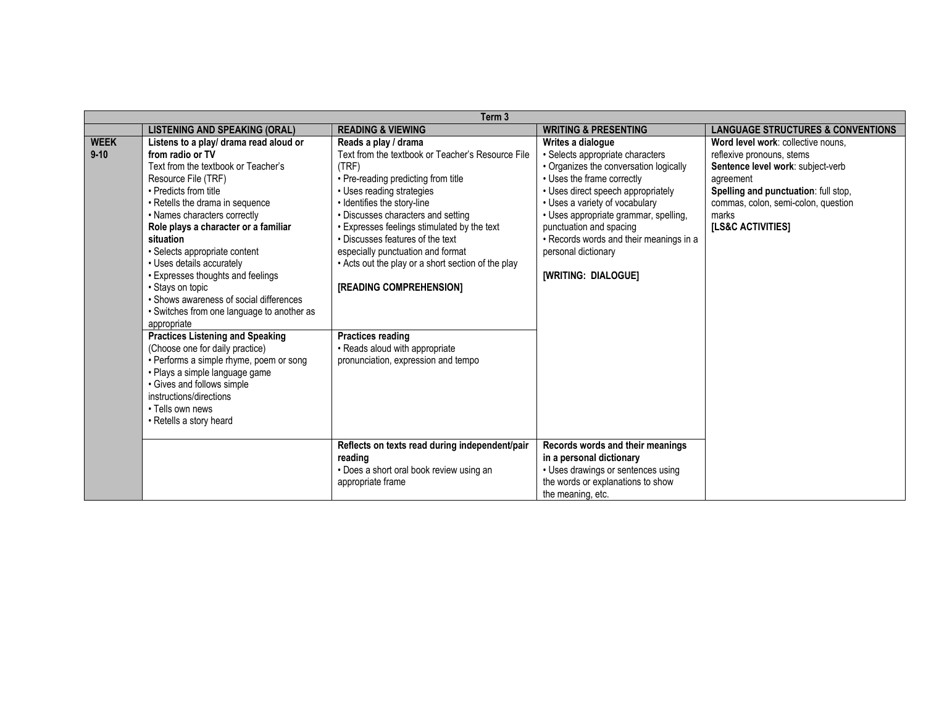| Term <sub>3</sub>       |                                                                                                                                                                                                                                                                                                                                                                                                                                                                                                                                                                                                                                                                                                                                                                             |                                                                                                                                                                                                                                                                                                                                                                                                                                                                                                                                           |                                                                                                                                                                                                                                                                                                                                                                    |                                                                                                                                                                                                                                |
|-------------------------|-----------------------------------------------------------------------------------------------------------------------------------------------------------------------------------------------------------------------------------------------------------------------------------------------------------------------------------------------------------------------------------------------------------------------------------------------------------------------------------------------------------------------------------------------------------------------------------------------------------------------------------------------------------------------------------------------------------------------------------------------------------------------------|-------------------------------------------------------------------------------------------------------------------------------------------------------------------------------------------------------------------------------------------------------------------------------------------------------------------------------------------------------------------------------------------------------------------------------------------------------------------------------------------------------------------------------------------|--------------------------------------------------------------------------------------------------------------------------------------------------------------------------------------------------------------------------------------------------------------------------------------------------------------------------------------------------------------------|--------------------------------------------------------------------------------------------------------------------------------------------------------------------------------------------------------------------------------|
|                         | <b>LISTENING AND SPEAKING (ORAL)</b>                                                                                                                                                                                                                                                                                                                                                                                                                                                                                                                                                                                                                                                                                                                                        | <b>READING &amp; VIEWING</b>                                                                                                                                                                                                                                                                                                                                                                                                                                                                                                              | <b>WRITING &amp; PRESENTING</b>                                                                                                                                                                                                                                                                                                                                    | <b>LANGUAGE STRUCTURES &amp; CONVENTIONS</b>                                                                                                                                                                                   |
| <b>WEEK</b><br>$9 - 10$ | Listens to a play/ drama read aloud or<br>from radio or TV<br>Text from the textbook or Teacher's<br>Resource File (TRF)<br>• Predicts from title<br>• Retells the drama in sequence<br>• Names characters correctly<br>Role plays a character or a familiar<br>situation<br>• Selects appropriate content<br>• Uses details accurately<br>• Expresses thoughts and feelings<br>• Stays on topic<br>• Shows awareness of social differences<br>• Switches from one language to another as<br>appropriate<br><b>Practices Listening and Speaking</b><br>(Choose one for daily practice)<br>• Performs a simple rhyme, poem or song<br>• Plays a simple language game<br>• Gives and follows simple<br>instructions/directions<br>• Tells own news<br>• Retells a story heard | Reads a play / drama<br>Text from the textbook or Teacher's Resource File<br>(TRF)<br>• Pre-reading predicting from title<br>• Uses reading strategies<br>• Identifies the story-line<br>• Discusses characters and setting<br>• Expresses feelings stimulated by the text<br>. Discusses features of the text<br>especially punctuation and format<br>• Acts out the play or a short section of the play<br>[READING COMPREHENSION]<br><b>Practices reading</b><br>• Reads aloud with appropriate<br>pronunciation, expression and tempo | Writes a dialogue<br>• Selects appropriate characters<br>• Organizes the conversation logically<br>• Uses the frame correctly<br>• Uses direct speech appropriately<br>• Uses a variety of vocabulary<br>• Uses appropriate grammar, spelling,<br>punctuation and spacing<br>• Records words and their meanings in a<br>personal dictionary<br>[WRITING: DIALOGUE] | Word level work: collective nouns,<br>reflexive pronouns, stems<br>Sentence level work: subject-verb<br>agreement<br>Spelling and punctuation: full stop,<br>commas, colon, semi-colon, question<br>marks<br>[LS&C ACTIVITIES] |
|                         |                                                                                                                                                                                                                                                                                                                                                                                                                                                                                                                                                                                                                                                                                                                                                                             | Reflects on texts read during independent/pair<br>reading<br>• Does a short oral book review using an<br>appropriate frame                                                                                                                                                                                                                                                                                                                                                                                                                | Records words and their meanings<br>in a personal dictionary<br>• Uses drawings or sentences using<br>the words or explanations to show<br>the meaning, etc.                                                                                                                                                                                                       |                                                                                                                                                                                                                                |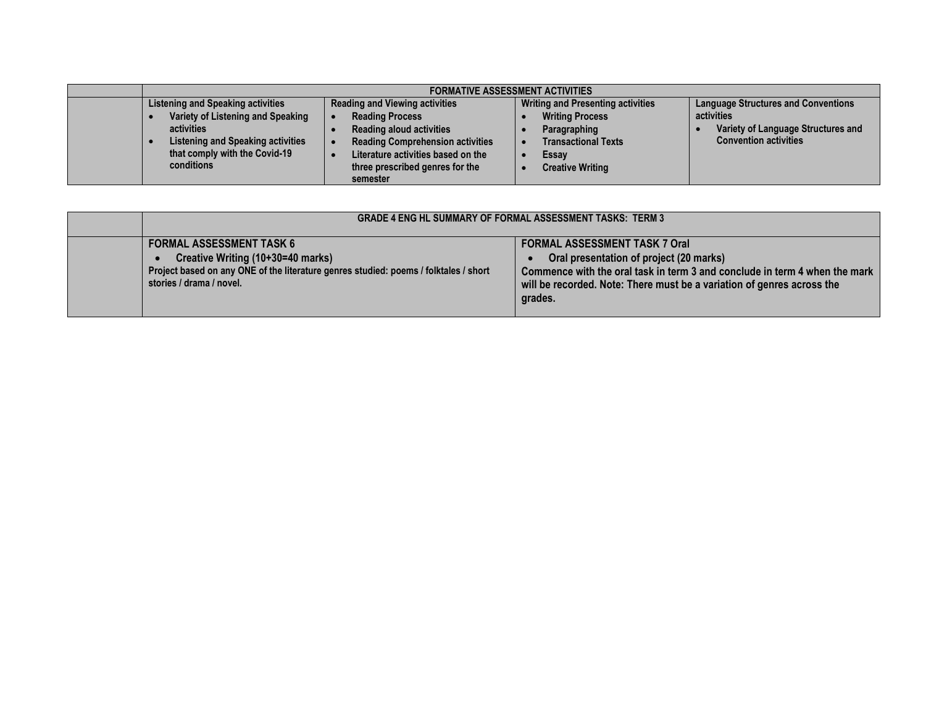| <b>Listening and Speaking activities</b><br><b>Writing and Presenting activities</b><br><b>Reading and Viewing activities</b><br><b>Language Structures and Conventions</b><br>activities<br>Variety of Listening and Speaking<br><b>Reading Process</b><br><b>Writing Process</b><br>Variety of Language Structures and<br>activities<br><b>Reading aloud activities</b><br>Paragraphing<br><b>Convention activities</b><br>Listening and Speaking activities<br><b>Reading Comprehension activities</b><br><b>Transactional Texts</b><br>that comply with the Covid-19<br>Literature activities based on the<br>Essay | <b>FORMATIVE ASSESSMENT ACTIVITIES</b> |                                 |                         |  |  |
|-------------------------------------------------------------------------------------------------------------------------------------------------------------------------------------------------------------------------------------------------------------------------------------------------------------------------------------------------------------------------------------------------------------------------------------------------------------------------------------------------------------------------------------------------------------------------------------------------------------------------|----------------------------------------|---------------------------------|-------------------------|--|--|
| semester                                                                                                                                                                                                                                                                                                                                                                                                                                                                                                                                                                                                                | conditions                             | three prescribed genres for the | <b>Creative Writing</b> |  |  |

| <b>GRADE 4 ENG HL SUMMARY OF FORMAL ASSESSMENT TASKS: TERM 3</b>                                                                                                                         |                                                                                                                                                                                                                                                    |  |  |  |
|------------------------------------------------------------------------------------------------------------------------------------------------------------------------------------------|----------------------------------------------------------------------------------------------------------------------------------------------------------------------------------------------------------------------------------------------------|--|--|--|
| <b>FORMAL ASSESSMENT TASK 6</b><br>Creative Writing (10+30=40 marks)<br>Project based on any ONE of the literature genres studied: poems / folktales / short<br>stories / drama / novel. | <b>FORMAL ASSESSMENT TASK 7 Oral</b><br>Oral presentation of project (20 marks)<br>Commence with the oral task in term 3 and conclude in term 4 when the mark<br>will be recorded. Note: There must be a variation of genres across the<br>grades. |  |  |  |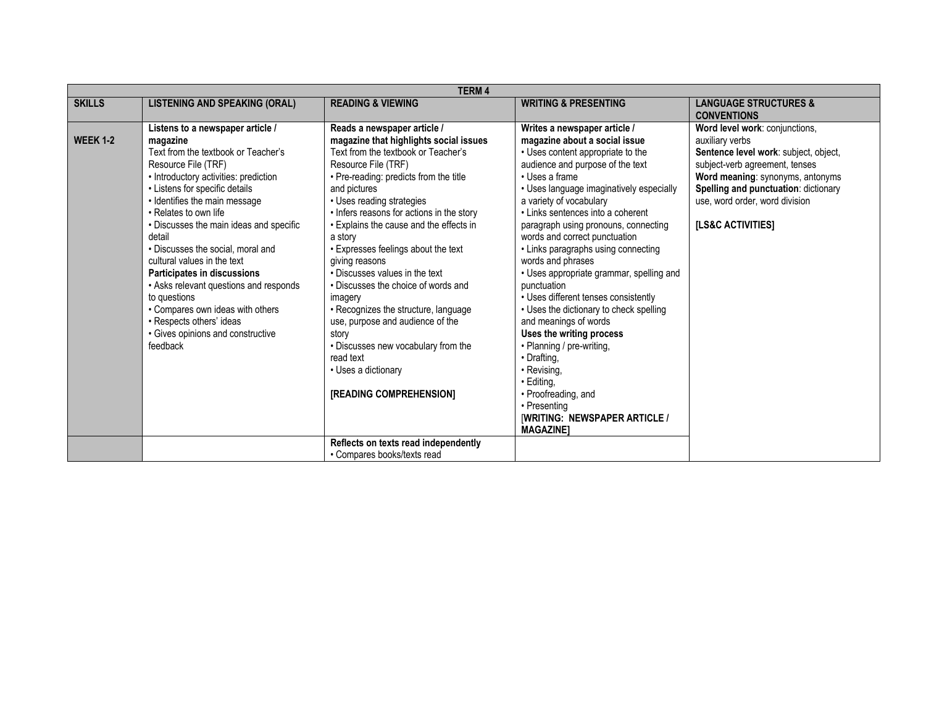| <b>TERM 4</b>   |                                                                                                                                                                                                                                                                                                                                                                                                                                                                                                                                                                                    |                                                                                                                                                                                                                                                                                                                                                                                                                                                                                                                                                                                                                                                                               |                                                                                                                                                                                                                                                                                                                                                                                                                                                                                                                                                                                                                                                                                                                                                                                         |                                                                                                                                                                                                                                                                 |
|-----------------|------------------------------------------------------------------------------------------------------------------------------------------------------------------------------------------------------------------------------------------------------------------------------------------------------------------------------------------------------------------------------------------------------------------------------------------------------------------------------------------------------------------------------------------------------------------------------------|-------------------------------------------------------------------------------------------------------------------------------------------------------------------------------------------------------------------------------------------------------------------------------------------------------------------------------------------------------------------------------------------------------------------------------------------------------------------------------------------------------------------------------------------------------------------------------------------------------------------------------------------------------------------------------|-----------------------------------------------------------------------------------------------------------------------------------------------------------------------------------------------------------------------------------------------------------------------------------------------------------------------------------------------------------------------------------------------------------------------------------------------------------------------------------------------------------------------------------------------------------------------------------------------------------------------------------------------------------------------------------------------------------------------------------------------------------------------------------------|-----------------------------------------------------------------------------------------------------------------------------------------------------------------------------------------------------------------------------------------------------------------|
| <b>SKILLS</b>   | <b>LISTENING AND SPEAKING (ORAL)</b>                                                                                                                                                                                                                                                                                                                                                                                                                                                                                                                                               | <b>READING &amp; VIEWING</b>                                                                                                                                                                                                                                                                                                                                                                                                                                                                                                                                                                                                                                                  | <b>WRITING &amp; PRESENTING</b>                                                                                                                                                                                                                                                                                                                                                                                                                                                                                                                                                                                                                                                                                                                                                         | <b>LANGUAGE STRUCTURES &amp;</b><br><b>CONVENTIONS</b>                                                                                                                                                                                                          |
| <b>WEEK 1-2</b> | Listens to a newspaper article /<br>magazine<br>Text from the textbook or Teacher's<br>Resource File (TRF)<br>• Introductory activities: prediction<br>• Listens for specific details<br>· Identifies the main message<br>• Relates to own life<br>• Discusses the main ideas and specific<br>detail<br>• Discusses the social, moral and<br>cultural values in the text<br>Participates in discussions<br>• Asks relevant questions and responds<br>to questions<br>• Compares own ideas with others<br>• Respects others' ideas<br>• Gives opinions and constructive<br>feedback | Reads a newspaper article /<br>magazine that highlights social issues<br>Text from the textbook or Teacher's<br>Resource File (TRF)<br>· Pre-reading: predicts from the title<br>and pictures<br>• Uses reading strategies<br>. Infers reasons for actions in the story<br>Explains the cause and the effects in<br>a story<br><b>Expresses feelings about the text</b><br>giving reasons<br>Discusses values in the text<br>• Discusses the choice of words and<br>imagery<br>· Recognizes the structure, language<br>use, purpose and audience of the<br>story<br>. Discusses new vocabulary from the<br>read text<br>• Uses a dictionary<br><b>IREADING COMPREHENSION1</b> | Writes a newspaper article /<br>magazine about a social issue<br>• Uses content appropriate to the<br>audience and purpose of the text<br>• Uses a frame<br>• Uses language imaginatively especially<br>a variety of vocabulary<br>• Links sentences into a coherent<br>paragraph using pronouns, connecting<br>words and correct punctuation<br>• Links paragraphs using connecting<br>words and phrases<br>• Uses appropriate grammar, spelling and<br>punctuation<br>• Uses different tenses consistently<br>• Uses the dictionary to check spelling<br>and meanings of words<br>Uses the writing process<br>· Planning / pre-writing,<br>· Drafting,<br>• Revising,<br>· Editing,<br>• Proofreading, and<br>• Presenting<br><b>IWRITING: NEWSPAPER ARTICLE /</b><br><b>MAGAZINE</b> | Word level work: conjunctions,<br>auxiliary verbs<br>Sentence level work: subject, object,<br>subject-verb agreement, tenses<br>Word meaning: synonyms, antonyms<br>Spelling and punctuation: dictionary<br>use, word order, word division<br>[LS&C ACTIVITIES] |
|                 |                                                                                                                                                                                                                                                                                                                                                                                                                                                                                                                                                                                    | Reflects on texts read independently<br>• Compares books/texts read                                                                                                                                                                                                                                                                                                                                                                                                                                                                                                                                                                                                           |                                                                                                                                                                                                                                                                                                                                                                                                                                                                                                                                                                                                                                                                                                                                                                                         |                                                                                                                                                                                                                                                                 |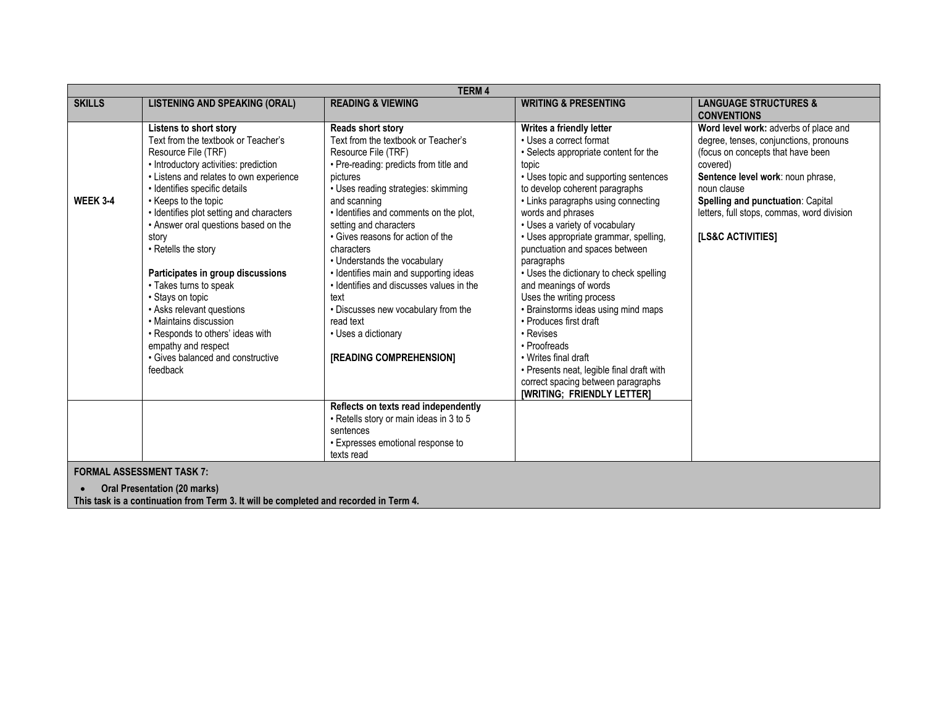|               | <b>TERM4</b>                                                                                                                                                                                                                                                                                                                                                                                                                                                                                                                                                                                                |                                                                                                                                                                                                                                                                                                                                                                                                                                                                                                                                                              |                                                                                                                                                                                                                                                                                                                                                                                                                                                                                                                                                                                                                                                                                                                |                                                                                                                                                                                                                                                                                              |  |  |
|---------------|-------------------------------------------------------------------------------------------------------------------------------------------------------------------------------------------------------------------------------------------------------------------------------------------------------------------------------------------------------------------------------------------------------------------------------------------------------------------------------------------------------------------------------------------------------------------------------------------------------------|--------------------------------------------------------------------------------------------------------------------------------------------------------------------------------------------------------------------------------------------------------------------------------------------------------------------------------------------------------------------------------------------------------------------------------------------------------------------------------------------------------------------------------------------------------------|----------------------------------------------------------------------------------------------------------------------------------------------------------------------------------------------------------------------------------------------------------------------------------------------------------------------------------------------------------------------------------------------------------------------------------------------------------------------------------------------------------------------------------------------------------------------------------------------------------------------------------------------------------------------------------------------------------------|----------------------------------------------------------------------------------------------------------------------------------------------------------------------------------------------------------------------------------------------------------------------------------------------|--|--|
| <b>SKILLS</b> | <b>LISTENING AND SPEAKING (ORAL)</b>                                                                                                                                                                                                                                                                                                                                                                                                                                                                                                                                                                        | <b>READING &amp; VIEWING</b>                                                                                                                                                                                                                                                                                                                                                                                                                                                                                                                                 | <b>WRITING &amp; PRESENTING</b>                                                                                                                                                                                                                                                                                                                                                                                                                                                                                                                                                                                                                                                                                | <b>LANGUAGE STRUCTURES &amp;</b><br><b>CONVENTIONS</b>                                                                                                                                                                                                                                       |  |  |
| WEEK 3-4      | Listens to short story<br>Text from the textbook or Teacher's<br>Resource File (TRF)<br>• Introductory activities: prediction<br>• Listens and relates to own experience<br>· Identifies specific details<br>• Keeps to the topic<br>• Identifies plot setting and characters<br>• Answer oral questions based on the<br>story<br>• Retells the story<br>Participates in group discussions<br>• Takes turns to speak<br>• Stays on topic<br>• Asks relevant questions<br>• Maintains discussion<br>• Responds to others' ideas with<br>empathy and respect<br>• Gives balanced and constructive<br>feedback | <b>Reads short story</b><br>Text from the textbook or Teacher's<br>Resource File (TRF)<br>· Pre-reading: predicts from title and<br>pictures<br>• Uses reading strategies: skimming<br>and scanning<br>· Identifies and comments on the plot,<br>setting and characters<br>• Gives reasons for action of the<br>characters<br>• Understands the vocabulary<br>Identifies main and supporting ideas<br>. Identifies and discusses values in the<br>text<br>· Discusses new vocabulary from the<br>read text<br>• Uses a dictionary<br>[READING COMPREHENSION] | Writes a friendly letter<br>• Uses a correct format<br>• Selects appropriate content for the<br>topic<br>• Uses topic and supporting sentences<br>to develop coherent paragraphs<br>• Links paragraphs using connecting<br>words and phrases<br>• Uses a variety of vocabulary<br>• Uses appropriate grammar, spelling,<br>punctuation and spaces between<br>paragraphs<br>• Uses the dictionary to check spelling<br>and meanings of words<br>Uses the writing process<br>• Brainstorms ideas using mind maps<br>• Produces first draft<br>• Revises<br>• Proofreads<br>• Writes final draft<br>• Presents neat, legible final draft with<br>correct spacing between paragraphs<br>[WRITING; FRIENDLY LETTER] | Word level work: adverbs of place and<br>degree, tenses, conjunctions, pronouns<br>(focus on concepts that have been<br>covered)<br>Sentence level work: noun phrase,<br>noun clause<br>Spelling and punctuation: Capital<br>letters, full stops, commas, word division<br>[LS&C ACTIVITIES] |  |  |
|               |                                                                                                                                                                                                                                                                                                                                                                                                                                                                                                                                                                                                             | Reflects on texts read independently<br>• Retells story or main ideas in 3 to 5<br>sentences<br>• Expresses emotional response to<br>texts read                                                                                                                                                                                                                                                                                                                                                                                                              |                                                                                                                                                                                                                                                                                                                                                                                                                                                                                                                                                                                                                                                                                                                |                                                                                                                                                                                                                                                                                              |  |  |
|               | <b>FORMAL ASSESSMENT TASK 7:</b>                                                                                                                                                                                                                                                                                                                                                                                                                                                                                                                                                                            |                                                                                                                                                                                                                                                                                                                                                                                                                                                                                                                                                              |                                                                                                                                                                                                                                                                                                                                                                                                                                                                                                                                                                                                                                                                                                                |                                                                                                                                                                                                                                                                                              |  |  |

**Oral Presentation (20 marks)**

**This task is a continuation from Term 3. It will be completed and recorded in Term 4.**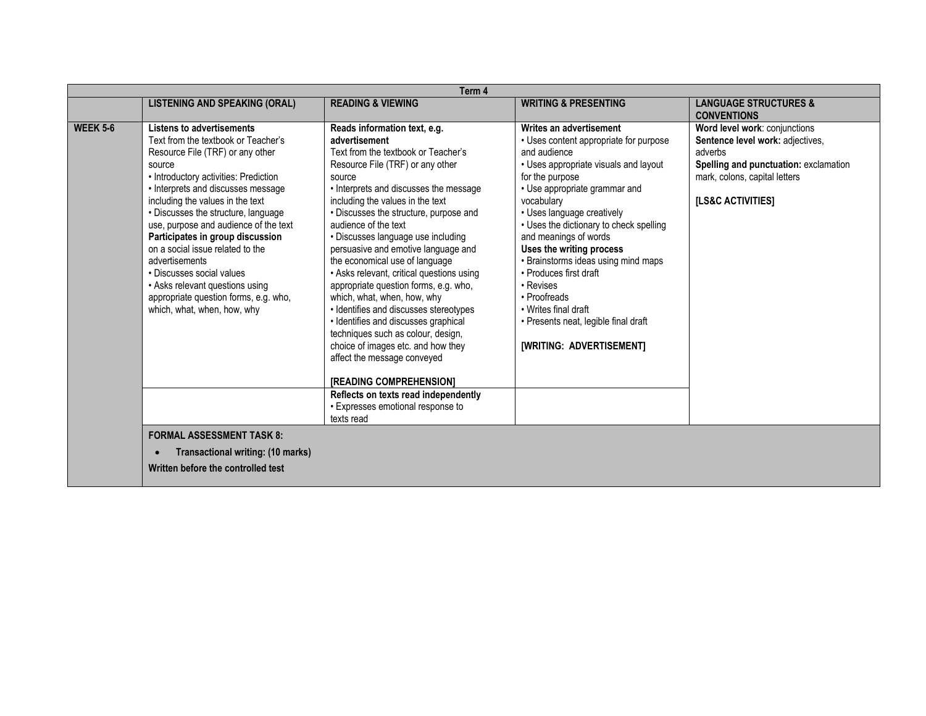| Term 4          |                                                                                                                                                                                                                                                                                                                                                                                                                                                                                                                                                                                                |                                                                                                                                                                                                                                                                                                                                                                                                                                                                                                                                                                                                                                                                                                                                                                                                                                           |                                                                                                                                                                                                                                                                                                                                                                                                                                                                                                                      |                                                                                                                                                                             |
|-----------------|------------------------------------------------------------------------------------------------------------------------------------------------------------------------------------------------------------------------------------------------------------------------------------------------------------------------------------------------------------------------------------------------------------------------------------------------------------------------------------------------------------------------------------------------------------------------------------------------|-------------------------------------------------------------------------------------------------------------------------------------------------------------------------------------------------------------------------------------------------------------------------------------------------------------------------------------------------------------------------------------------------------------------------------------------------------------------------------------------------------------------------------------------------------------------------------------------------------------------------------------------------------------------------------------------------------------------------------------------------------------------------------------------------------------------------------------------|----------------------------------------------------------------------------------------------------------------------------------------------------------------------------------------------------------------------------------------------------------------------------------------------------------------------------------------------------------------------------------------------------------------------------------------------------------------------------------------------------------------------|-----------------------------------------------------------------------------------------------------------------------------------------------------------------------------|
|                 | <b>LISTENING AND SPEAKING (ORAL)</b>                                                                                                                                                                                                                                                                                                                                                                                                                                                                                                                                                           | <b>READING &amp; VIEWING</b>                                                                                                                                                                                                                                                                                                                                                                                                                                                                                                                                                                                                                                                                                                                                                                                                              | <b>WRITING &amp; PRESENTING</b>                                                                                                                                                                                                                                                                                                                                                                                                                                                                                      | <b>LANGUAGE STRUCTURES &amp;</b><br><b>CONVENTIONS</b>                                                                                                                      |
| <b>WEEK 5-6</b> | <b>Listens to advertisements</b><br>Text from the textbook or Teacher's<br>Resource File (TRF) or any other<br>source<br>• Introductory activities: Prediction<br>• Interprets and discusses message<br>including the values in the text<br>• Discusses the structure, language<br>use, purpose and audience of the text<br>Participates in group discussion<br>on a social issue related to the<br>advertisements<br>• Discusses social values<br>• Asks relevant questions using<br>appropriate question forms, e.g. who,<br>which, what, when, how, why<br><b>FORMAL ASSESSMENT TASK 8:</b> | Reads information text, e.g.<br>advertisement<br>Text from the textbook or Teacher's<br>Resource File (TRF) or any other<br>source<br>• Interprets and discusses the message<br>including the values in the text<br>· Discusses the structure, purpose and<br>audience of the text<br>• Discusses language use including<br>persuasive and emotive language and<br>the economical use of language<br>• Asks relevant, critical questions using<br>appropriate question forms, e.g. who,<br>which, what, when, how, why<br>· Identifies and discusses stereotypes<br>• Identifies and discusses graphical<br>techniques such as colour, design,<br>choice of images etc. and how they<br>affect the message conveyed<br>[READING COMPREHENSION]<br>Reflects on texts read independently<br>• Expresses emotional response to<br>texts read | Writes an advertisement<br>• Uses content appropriate for purpose<br>and audience<br>• Uses appropriate visuals and layout<br>for the purpose<br>• Use appropriate grammar and<br>vocabulary<br>• Uses language creatively<br>• Uses the dictionary to check spelling<br>and meanings of words<br>Uses the writing process<br>• Brainstorms ideas using mind maps<br>• Produces first draft<br>• Revises<br>• Proofreads<br>• Writes final draft<br>• Presents neat, legible final draft<br>[WRITING: ADVERTISEMENT] | Word level work: conjunctions<br>Sentence level work: adjectives,<br>adverbs<br>Spelling and punctuation: exclamation<br>mark, colons, capital letters<br>[LS&C ACTIVITIES] |
|                 | Transactional writing: (10 marks)<br>Written before the controlled test                                                                                                                                                                                                                                                                                                                                                                                                                                                                                                                        |                                                                                                                                                                                                                                                                                                                                                                                                                                                                                                                                                                                                                                                                                                                                                                                                                                           |                                                                                                                                                                                                                                                                                                                                                                                                                                                                                                                      |                                                                                                                                                                             |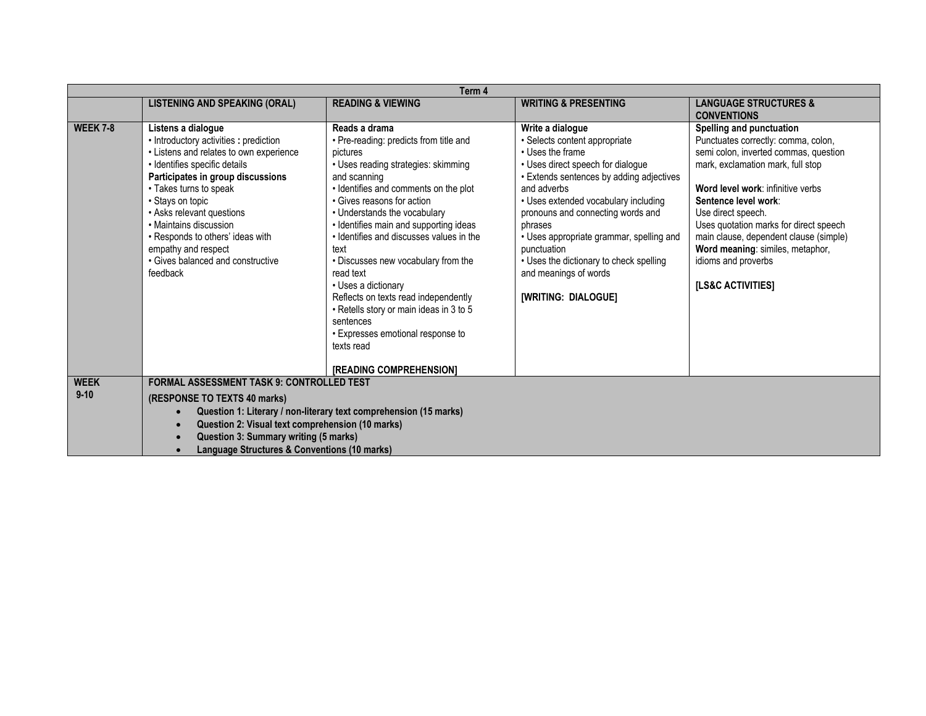|                 | Term 4                                                                                                                                                                                                                                                                                                                                                                                         |                                                                                                                                                                                                                                                                                                                                                                                                                                                                                                                                                                                          |                                                                                                                                                                                                                                                                                                                                                                                                                     |                                                                                                                                                                                                                                                                                                                                                                                                      |  |
|-----------------|------------------------------------------------------------------------------------------------------------------------------------------------------------------------------------------------------------------------------------------------------------------------------------------------------------------------------------------------------------------------------------------------|------------------------------------------------------------------------------------------------------------------------------------------------------------------------------------------------------------------------------------------------------------------------------------------------------------------------------------------------------------------------------------------------------------------------------------------------------------------------------------------------------------------------------------------------------------------------------------------|---------------------------------------------------------------------------------------------------------------------------------------------------------------------------------------------------------------------------------------------------------------------------------------------------------------------------------------------------------------------------------------------------------------------|------------------------------------------------------------------------------------------------------------------------------------------------------------------------------------------------------------------------------------------------------------------------------------------------------------------------------------------------------------------------------------------------------|--|
|                 | <b>LISTENING AND SPEAKING (ORAL)</b>                                                                                                                                                                                                                                                                                                                                                           | <b>READING &amp; VIEWING</b>                                                                                                                                                                                                                                                                                                                                                                                                                                                                                                                                                             | <b>WRITING &amp; PRESENTING</b>                                                                                                                                                                                                                                                                                                                                                                                     | <b>LANGUAGE STRUCTURES &amp;</b><br><b>CONVENTIONS</b>                                                                                                                                                                                                                                                                                                                                               |  |
| <b>WEEK 7-8</b> | Listens a dialogue<br>• Introductory activities : prediction<br>• Listens and relates to own experience<br>· Identifies specific details<br>Participates in group discussions<br>• Takes turns to speak<br>• Stays on topic<br>• Asks relevant questions<br>• Maintains discussion<br>• Responds to others' ideas with<br>empathy and respect<br>• Gives balanced and constructive<br>feedback | Reads a drama<br>• Pre-reading: predicts from title and<br>pictures<br>• Uses reading strategies: skimming<br>and scanning<br>· Identifies and comments on the plot<br>• Gives reasons for action<br>• Understands the vocabulary<br>• Identifies main and supporting ideas<br>• Identifies and discusses values in the<br>text<br>• Discusses new vocabulary from the<br>read text<br>• Uses a dictionary<br>Reflects on texts read independently<br>• Retells story or main ideas in 3 to 5<br>sentences<br>• Expresses emotional response to<br>texts read<br>[READING COMPREHENSION] | Write a dialogue<br>· Selects content appropriate<br>• Uses the frame<br>• Uses direct speech for dialogue<br>• Extends sentences by adding adjectives<br>and adverbs<br>• Uses extended vocabulary including<br>pronouns and connecting words and<br>phrases<br>• Uses appropriate grammar, spelling and<br>punctuation<br>• Uses the dictionary to check spelling<br>and meanings of words<br>[WRITING: DIALOGUE] | Spelling and punctuation<br>Punctuates correctly: comma, colon,<br>semi colon, inverted commas, question<br>mark, exclamation mark, full stop<br>Word level work: infinitive verbs<br>Sentence level work:<br>Use direct speech.<br>Uses quotation marks for direct speech<br>main clause, dependent clause (simple)<br>Word meaning: similes, metaphor,<br>idioms and proverbs<br>[LS&C ACTIVITIES] |  |
| <b>WEEK</b>     | <b>FORMAL ASSESSMENT TASK 9: CONTROLLED TEST</b>                                                                                                                                                                                                                                                                                                                                               |                                                                                                                                                                                                                                                                                                                                                                                                                                                                                                                                                                                          |                                                                                                                                                                                                                                                                                                                                                                                                                     |                                                                                                                                                                                                                                                                                                                                                                                                      |  |
| $9 - 10$        | (RESPONSE TO TEXTS 40 marks)                                                                                                                                                                                                                                                                                                                                                                   |                                                                                                                                                                                                                                                                                                                                                                                                                                                                                                                                                                                          |                                                                                                                                                                                                                                                                                                                                                                                                                     |                                                                                                                                                                                                                                                                                                                                                                                                      |  |
|                 | Question 1: Literary / non-literary text comprehension (15 marks)                                                                                                                                                                                                                                                                                                                              |                                                                                                                                                                                                                                                                                                                                                                                                                                                                                                                                                                                          |                                                                                                                                                                                                                                                                                                                                                                                                                     |                                                                                                                                                                                                                                                                                                                                                                                                      |  |
|                 | Question 2: Visual text comprehension (10 marks)                                                                                                                                                                                                                                                                                                                                               |                                                                                                                                                                                                                                                                                                                                                                                                                                                                                                                                                                                          |                                                                                                                                                                                                                                                                                                                                                                                                                     |                                                                                                                                                                                                                                                                                                                                                                                                      |  |
|                 | Question 3: Summary writing (5 marks)<br>Language Structures & Conventions (10 marks)                                                                                                                                                                                                                                                                                                          |                                                                                                                                                                                                                                                                                                                                                                                                                                                                                                                                                                                          |                                                                                                                                                                                                                                                                                                                                                                                                                     |                                                                                                                                                                                                                                                                                                                                                                                                      |  |
|                 |                                                                                                                                                                                                                                                                                                                                                                                                |                                                                                                                                                                                                                                                                                                                                                                                                                                                                                                                                                                                          |                                                                                                                                                                                                                                                                                                                                                                                                                     |                                                                                                                                                                                                                                                                                                                                                                                                      |  |